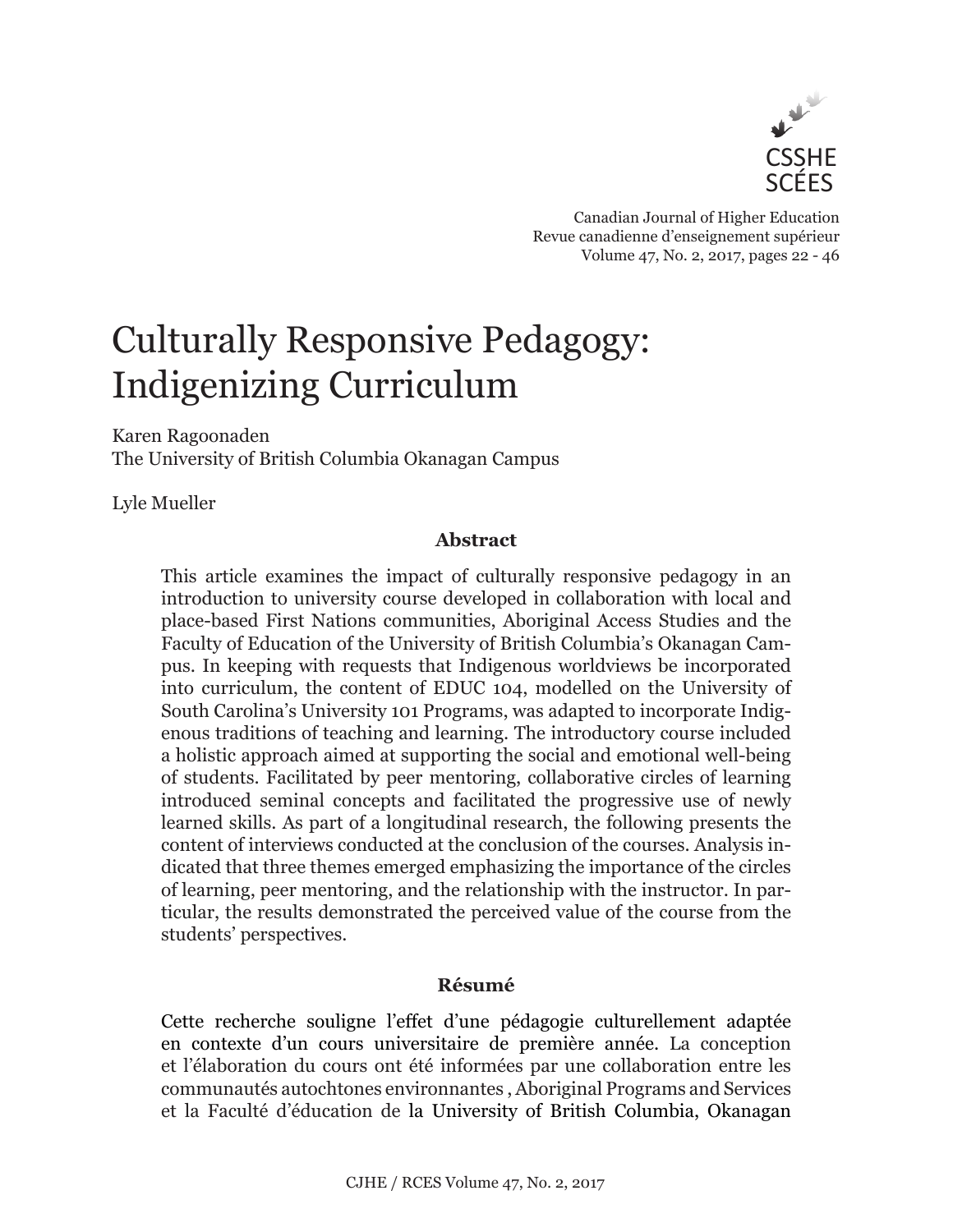

Canadian Journal of Higher Education Revue canadienne d'enseignement supérieur Volume 47, No. 2, 2017, pages 22 - 46

# Culturally Responsive Pedagogy: Indigenizing Curriculum

Karen Ragoonaden The University of British Columbia Okanagan Campus

Lyle Mueller

# **Abstract**

This article examines the impact of culturally responsive pedagogy in an introduction to university course developed in collaboration with local and place-based First Nations communities, Aboriginal Access Studies and the Faculty of Education of the University of British Columbia's Okanagan Campus. In keeping with requests that Indigenous worldviews be incorporated into curriculum, the content of EDUC 104, modelled on the University of South Carolina's University 101 Programs, was adapted to incorporate Indigenous traditions of teaching and learning. The introductory course included a holistic approach aimed at supporting the social and emotional well-being of students. Facilitated by peer mentoring, collaborative circles of learning introduced seminal concepts and facilitated the progressive use of newly learned skills. As part of a longitudinal research, the following presents the content of interviews conducted at the conclusion of the courses. Analysis indicated that three themes emerged emphasizing the importance of the circles of learning, peer mentoring, and the relationship with the instructor. In particular, the results demonstrated the perceived value of the course from the students' perspectives.

# **Résumé**

Cette recherche souligne l'effet d'une pédagogie culturellement adaptée en contexte d'un cours universitaire de première année. La conception et l'élaboration du cours ont été informées par une collaboration entre les communautés autochtones environnantes , Aboriginal Programs and Services et la Faculté d'éducation de la University of British Columbia, Okanagan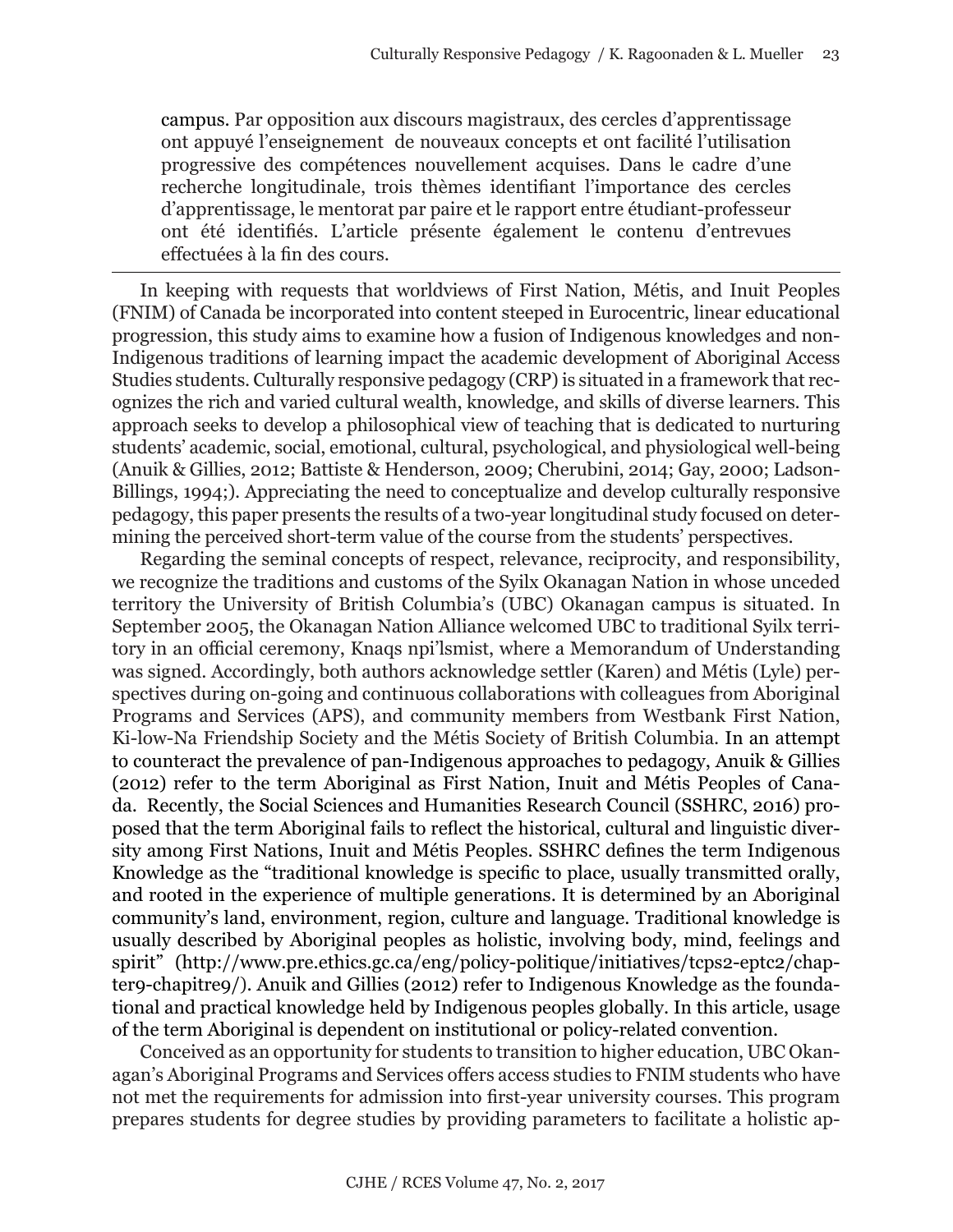campus. Par opposition aux discours magistraux, des cercles d'apprentissage ont appuyé l'enseignement de nouveaux concepts et ont facilité l'utilisation progressive des compétences nouvellement acquises. Dans le cadre d'une recherche longitudinale, trois thèmes identifiant l'importance des cercles d'apprentissage, le mentorat par paire et le rapport entre étudiant-professeur ont été identifiés. L'article présente également le contenu d'entrevues effectuées à la fin des cours.

In keeping with requests that worldviews of First Nation, Métis, and Inuit Peoples (FNIM) of Canada be incorporated into content steeped in Eurocentric, linear educational progression, this study aims to examine how a fusion of Indigenous knowledges and non-Indigenous traditions of learning impact the academic development of Aboriginal Access Studies students. Culturally responsive pedagogy (CRP) is situated in a framework that recognizes the rich and varied cultural wealth, knowledge, and skills of diverse learners. This approach seeks to develop a philosophical view of teaching that is dedicated to nurturing students' academic, social, emotional, cultural, psychological, and physiological well-being (Anuik & Gillies, 2012; Battiste & Henderson, 2009; Cherubini, 2014; Gay, 2000; Ladson-Billings, 1994;). Appreciating the need to conceptualize and develop culturally responsive pedagogy, this paper presents the results of a two-year longitudinal study focused on determining the perceived short-term value of the course from the students' perspectives.

Regarding the seminal concepts of respect, relevance, reciprocity, and responsibility, we recognize the traditions and customs of the Syilx Okanagan Nation in whose unceded territory the University of British Columbia's (UBC) Okanagan campus is situated. In September 2005, the Okanagan Nation Alliance welcomed UBC to traditional Syilx territory in an official ceremony, Knaqs npi'lsmist, where a Memorandum of Understanding was signed. Accordingly, both authors acknowledge settler (Karen) and Métis (Lyle) perspectives during on-going and continuous collaborations with colleagues from Aboriginal Programs and Services (APS), and community members from Westbank First Nation, Ki-low-Na Friendship Society and the Métis Society of British Columbia. In an attempt to counteract the prevalence of pan-Indigenous approaches to pedagogy, Anuik & Gillies (2012) refer to the term Aboriginal as First Nation, Inuit and Métis Peoples of Canada. Recently, the Social Sciences and Humanities Research Council (SSHRC, 2016) proposed that the term Aboriginal fails to reflect the historical, cultural and linguistic diversity among First Nations, Inuit and Métis Peoples. SSHRC defines the term Indigenous Knowledge as the "traditional knowledge is specific to place, usually transmitted orally, and rooted in the experience of multiple generations. It is determined by an Aboriginal community's land, environment, region, culture and language. Traditional knowledge is usually described by Aboriginal peoples as holistic, involving body, mind, feelings and spirit" [\(http://www.pre.ethics.gc.ca/eng/policy-politique/initiatives/tcps2-eptc2/chap](http://www.pre.ethics.gc.ca/eng/policy-politique/initiatives/tcps2-eptc2/chapter9-chapitre9/)[ter9-chapitre9/](http://www.pre.ethics.gc.ca/eng/policy-politique/initiatives/tcps2-eptc2/chapter9-chapitre9/)). Anuik and Gillies (2012) refer to Indigenous Knowledge as the foundational and practical knowledge held by Indigenous peoples globally. In this article, usage of the term Aboriginal is dependent on institutional or policy-related convention.

Conceived as an opportunity for students to transition to higher education, UBC Okanagan's Aboriginal Programs and Services offers access studies to FNIM students who have not met the requirements for admission into first-year university courses. This program prepares students for degree studies by providing parameters to facilitate a holistic ap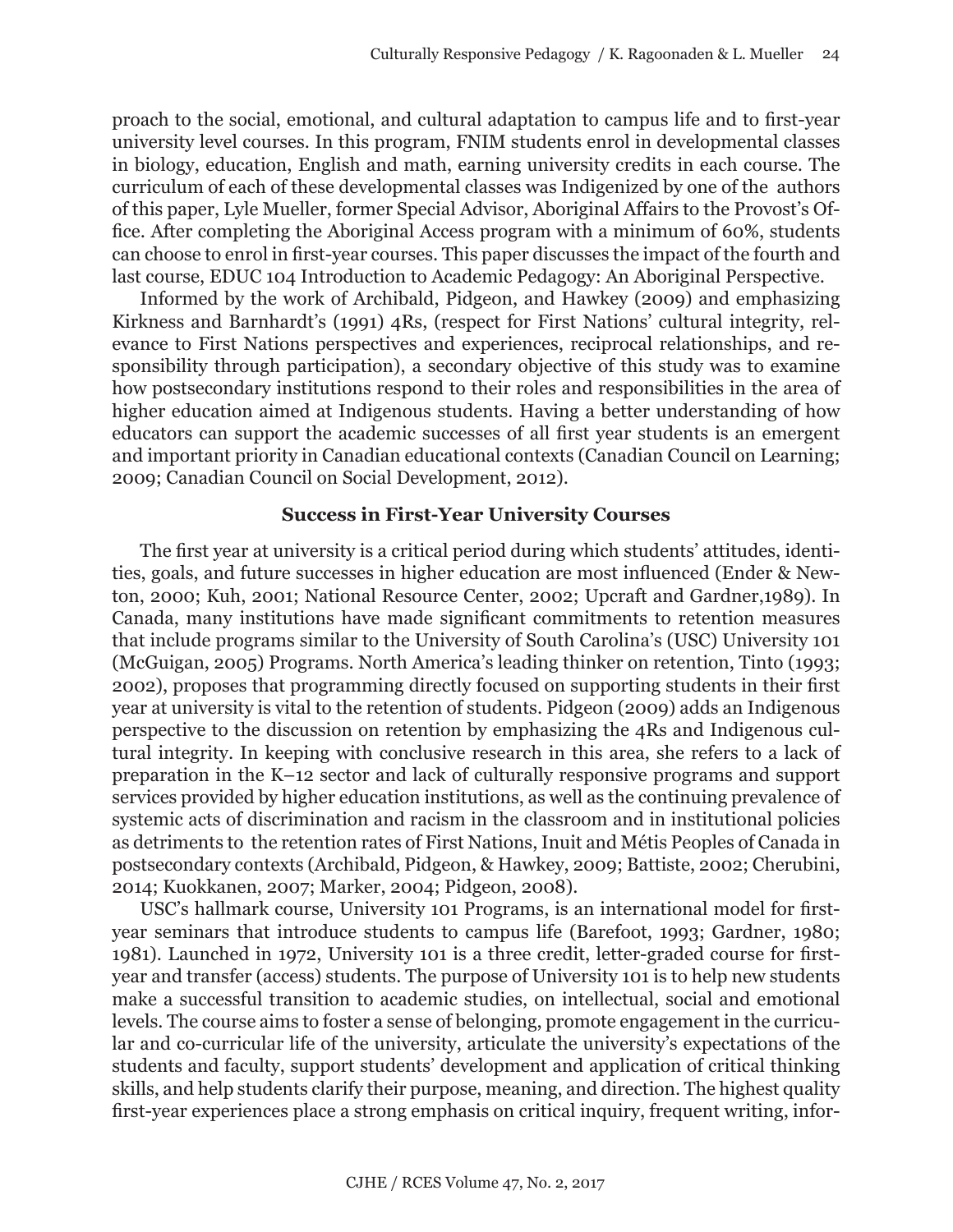proach to the social, emotional, and cultural adaptation to campus life and to first-year university level courses. In this program, FNIM students enrol in developmental classes in biology, education, English and math, earning university credits in each course. The curriculum of each of these developmental classes was Indigenized by one of the authors of this paper, Lyle Mueller, former Special Advisor, Aboriginal Affairs to the Provost's Office. After completing the Aboriginal Access program with a minimum of 60%, students can choose to enrol in first-year courses. This paper discusses the impact of the fourth and last course, EDUC 104 Introduction to Academic Pedagogy: An Aboriginal Perspective.

Informed by the work of Archibald, Pidgeon, and Hawkey (2009) and emphasizing Kirkness and Barnhardt's (1991) 4Rs, (respect for First Nations' cultural integrity, relevance to First Nations perspectives and experiences, reciprocal relationships, and responsibility through participation), a secondary objective of this study was to examine how postsecondary institutions respond to their roles and responsibilities in the area of higher education aimed at Indigenous students. Having a better understanding of how educators can support the academic successes of all first year students is an emergent and important priority in Canadian educational contexts (Canadian Council on Learning; 2009; Canadian Council on Social Development, 2012).

#### **Success in First-Year University Courses**

The first year at university is a critical period during which students' attitudes, identities, goals, and future successes in higher education are most influenced (Ender & Newton, 2000; Kuh, 2001; National Resource Center, 2002; Upcraft and Gardner,1989). In Canada, many institutions have made significant commitments to retention measures that include programs similar to the University of South Carolina's (USC) University 101 (McGuigan, 2005) Programs. North America's leading thinker on retention, Tinto (1993; 2002), proposes that programming directly focused on supporting students in their first year at university is vital to the retention of students. Pidgeon (2009) adds an Indigenous perspective to the discussion on retention by emphasizing the 4Rs and Indigenous cultural integrity. In keeping with conclusive research in this area, she refers to a lack of preparation in the K–12 sector and lack of culturally responsive programs and support services provided by higher education institutions, as well as the continuing prevalence of systemic acts of discrimination and racism in the classroom and in institutional policies as detriments to the retention rates of First Nations, Inuit and Métis Peoples of Canada in postsecondary contexts (Archibald, Pidgeon, & Hawkey, 2009; Battiste, 2002; Cherubini, 2014; Kuokkanen, 2007; Marker, 2004; Pidgeon, 2008).

USC's hallmark course, University 101 Programs, is an international model for firstyear seminars that introduce students to campus life (Barefoot, 1993; Gardner, 1980; 1981). Launched in 1972, University 101 is a three credit, letter-graded course for firstyear and transfer (access) students. The purpose of University 101 is to help new students make a successful transition to academic studies, on intellectual, social and emotional levels. The course aims to foster a sense of belonging, promote engagement in the curricular and co-curricular life of the university, articulate the university's expectations of the students and faculty, support students' development and application of critical thinking skills, and help students clarify their purpose, meaning, and direction. The highest quality first-year experiences place a strong emphasis on critical inquiry, frequent writing, infor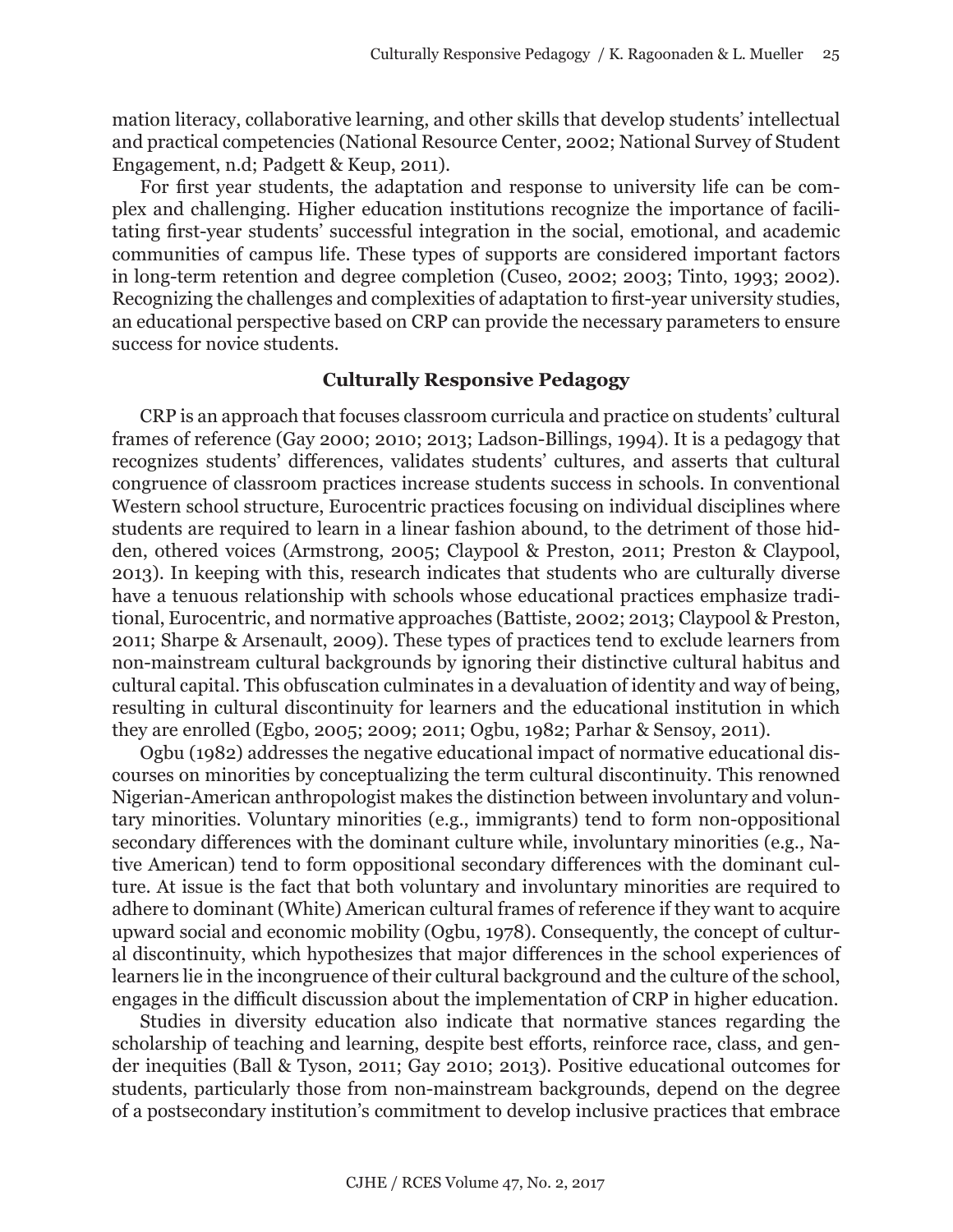mation literacy, collaborative learning, and other skills that develop students' intellectual and practical competencies (National Resource Center, 2002; National Survey of Student Engagement, n.d; Padgett & Keup, 2011).

For first year students, the adaptation and response to university life can be complex and challenging. Higher education institutions recognize the importance of facilitating first-year students' successful integration in the social, emotional, and academic communities of campus life. These types of supports are considered important factors in long-term retention and degree completion (Cuseo, 2002; 2003; Tinto, 1993; 2002). Recognizing the challenges and complexities of adaptation to first-year university studies, an educational perspective based on CRP can provide the necessary parameters to ensure success for novice students.

#### **Culturally Responsive Pedagogy**

CRP is an approach that focuses classroom curricula and practice on students' cultural frames of reference (Gay 2000; 2010; 2013; Ladson-Billings, 1994). It is a pedagogy that recognizes students' differences, validates students' cultures, and asserts that cultural congruence of classroom practices increase students success in schools. In conventional Western school structure, Eurocentric practices focusing on individual disciplines where students are required to learn in a linear fashion abound, to the detriment of those hidden, othered voices (Armstrong, 2005; Claypool & Preston, 2011; Preston & Claypool, 2013). In keeping with this, research indicates that students who are culturally diverse have a tenuous relationship with schools whose educational practices emphasize traditional, Eurocentric, and normative approaches (Battiste, 2002; 2013; Claypool & Preston, 2011; Sharpe & Arsenault, 2009). These types of practices tend to exclude learners from non-mainstream cultural backgrounds by ignoring their distinctive cultural habitus and cultural capital. This obfuscation culminates in a devaluation of identity and way of being, resulting in cultural discontinuity for learners and the educational institution in which they are enrolled (Egbo, 2005; 2009; 2011; Ogbu, 1982; Parhar & Sensoy, 2011).

Ogbu (1982) addresses the negative educational impact of normative educational discourses on minorities by conceptualizing the term cultural discontinuity. This renowned Nigerian-American anthropologist makes the distinction between involuntary and voluntary minorities. Voluntary minorities (e.g., immigrants) tend to form non-oppositional secondary differences with the dominant culture while, involuntary minorities (e.g., Native American) tend to form oppositional secondary differences with the dominant culture. At issue is the fact that both voluntary and involuntary minorities are required to adhere to dominant (White) American cultural frames of reference if they want to acquire upward social and economic mobility (Ogbu, 1978). Consequently, the concept of cultural discontinuity, which hypothesizes that major differences in the school experiences of learners lie in the incongruence of their cultural background and the culture of the school, engages in the difficult discussion about the implementation of CRP in higher education.

Studies in diversity education also indicate that normative stances regarding the scholarship of teaching and learning, despite best efforts, reinforce race, class, and gender inequities (Ball & Tyson, 2011; Gay 2010; 2013). Positive educational outcomes for students, particularly those from non-mainstream backgrounds, depend on the degree of a postsecondary institution's commitment to develop inclusive practices that embrace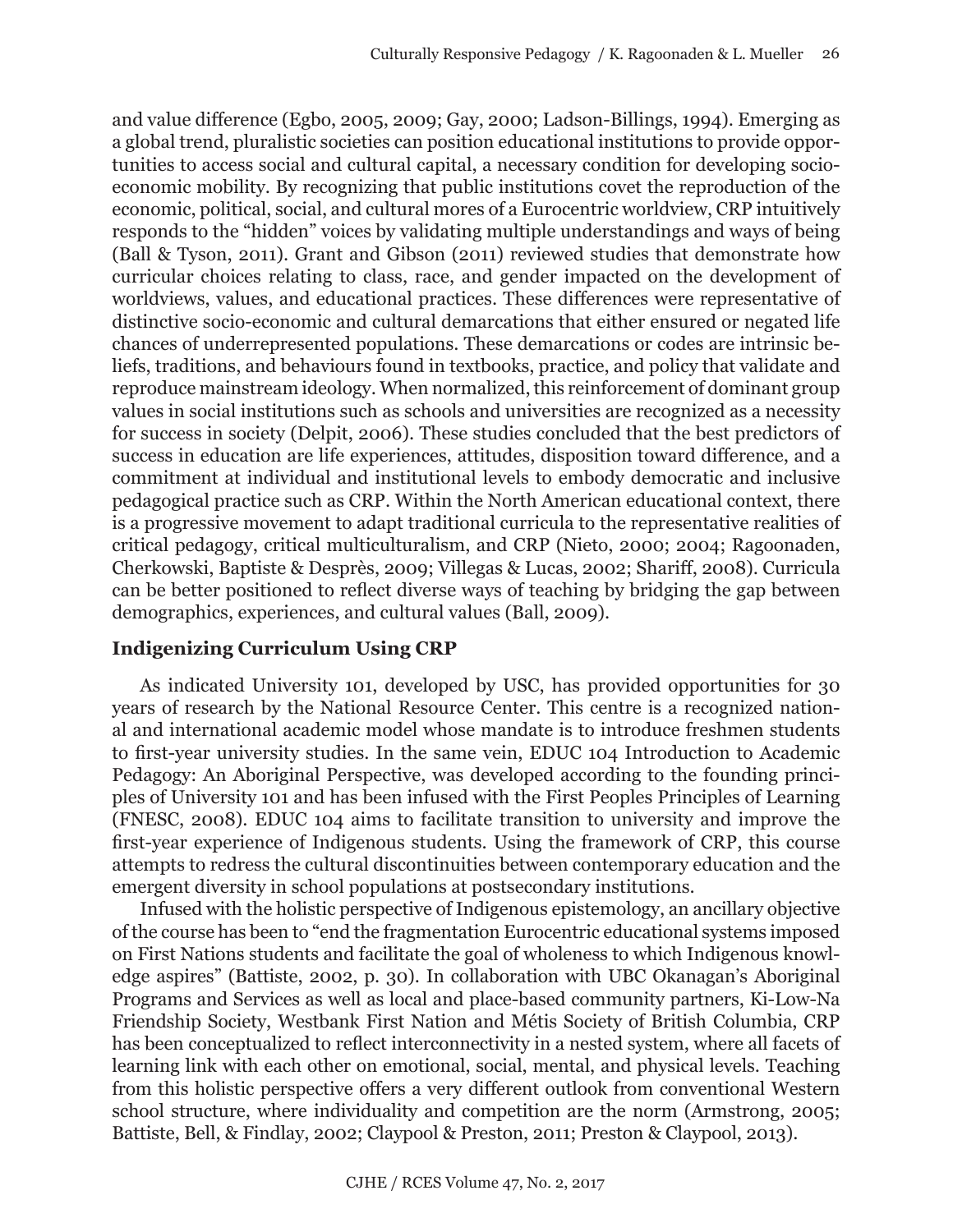and value difference (Egbo, 2005, 2009; Gay, 2000; Ladson-Billings, 1994). Emerging as a global trend, pluralistic societies can position educational institutions to provide opportunities to access social and cultural capital, a necessary condition for developing socioeconomic mobility. By recognizing that public institutions covet the reproduction of the economic, political, social, and cultural mores of a Eurocentric worldview, CRP intuitively responds to the "hidden" voices by validating multiple understandings and ways of being (Ball & Tyson, 2011). Grant and Gibson (2011) reviewed studies that demonstrate how curricular choices relating to class, race, and gender impacted on the development of worldviews, values, and educational practices. These differences were representative of distinctive socio-economic and cultural demarcations that either ensured or negated life chances of underrepresented populations. These demarcations or codes are intrinsic beliefs, traditions, and behaviours found in textbooks, practice, and policy that validate and reproduce mainstream ideology. When normalized, this reinforcement of dominant group values in social institutions such as schools and universities are recognized as a necessity for success in society (Delpit, 2006). These studies concluded that the best predictors of success in education are life experiences, attitudes, disposition toward difference, and a commitment at individual and institutional levels to embody democratic and inclusive pedagogical practice such as CRP. Within the North American educational context, there is a progressive movement to adapt traditional curricula to the representative realities of critical pedagogy, critical multiculturalism, and CRP (Nieto, 2000; 2004; Ragoonaden, Cherkowski, Baptiste & Desprès, 2009; Villegas & Lucas, 2002; Shariff, 2008). Curricula can be better positioned to reflect diverse ways of teaching by bridging the gap between demographics, experiences, and cultural values (Ball, 2009).

# **Indigenizing Curriculum Using CRP**

As indicated University 101, developed by USC, has provided opportunities for 30 years of research by the National Resource Center. This centre is a recognized national and international academic model whose mandate is to introduce freshmen students to first-year university studies. In the same vein, EDUC 104 Introduction to Academic Pedagogy: An Aboriginal Perspective, was developed according to the founding principles of University 101 and has been infused with the First Peoples Principles of Learning (FNESC, 2008). EDUC 104 aims to facilitate transition to university and improve the first-year experience of Indigenous students. Using the framework of CRP, this course attempts to redress the cultural discontinuities between contemporary education and the emergent diversity in school populations at postsecondary institutions.

Infused with the holistic perspective of Indigenous epistemology, an ancillary objective of the course has been to "end the fragmentation Eurocentric educational systems imposed on First Nations students and facilitate the goal of wholeness to which Indigenous knowledge aspires" (Battiste, 2002, p. 30). In collaboration with UBC Okanagan's Aboriginal Programs and Services as well as local and place-based community partners, Ki-Low-Na Friendship Society, Westbank First Nation and Métis Society of British Columbia, CRP has been conceptualized to reflect interconnectivity in a nested system, where all facets of learning link with each other on emotional, social, mental, and physical levels. Teaching from this holistic perspective offers a very different outlook from conventional Western school structure, where individuality and competition are the norm (Armstrong, 2005; Battiste, Bell, & Findlay, 2002; Claypool & Preston, 2011; Preston & Claypool, 2013).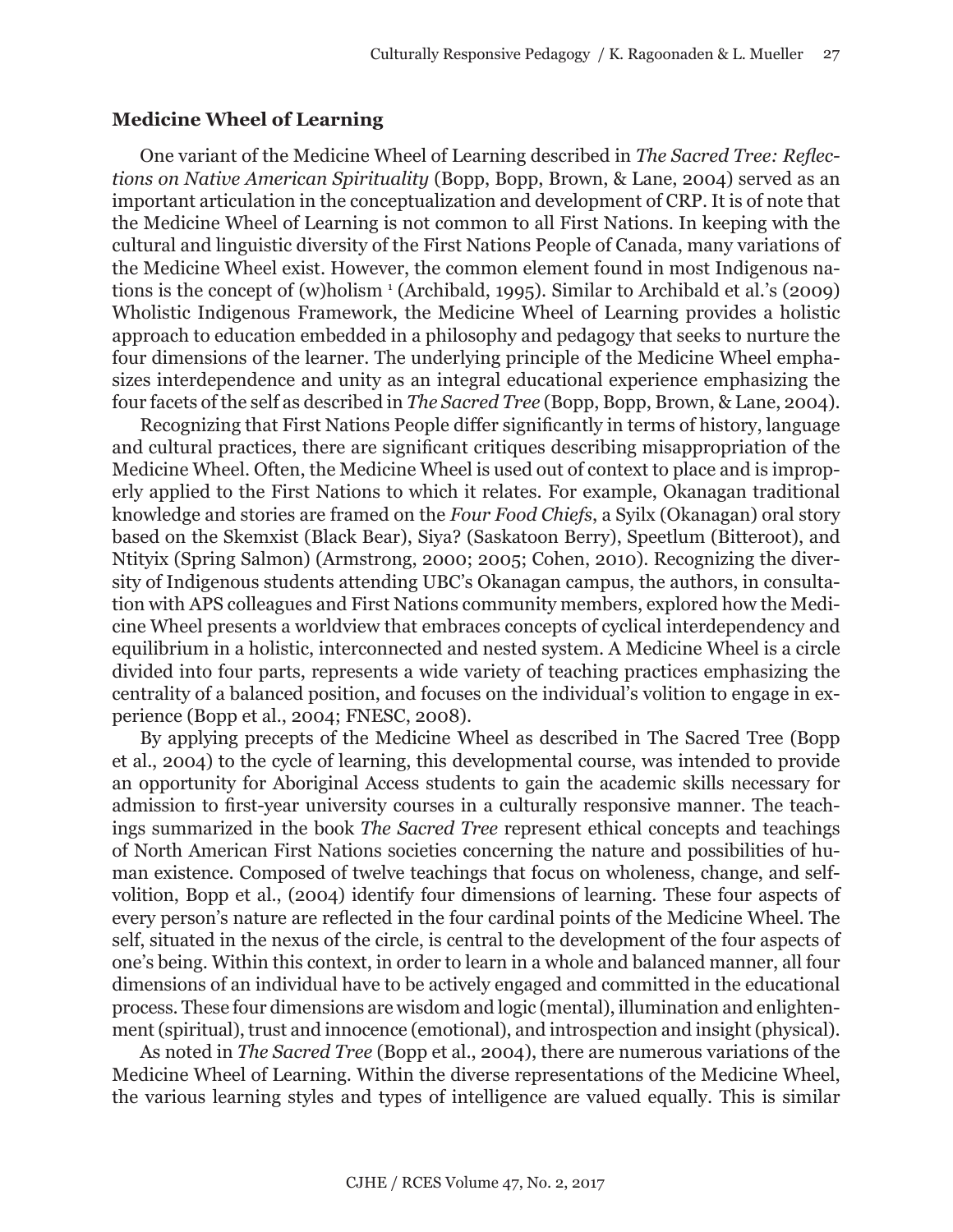#### **Medicine Wheel of Learning**

One variant of the Medicine Wheel of Learning described in *The Sacred Tree: Reflections on Native American Spirituality* (Bopp, Bopp, Brown, & Lane, 2004) served as an important articulation in the conceptualization and development of CRP. It is of note that the Medicine Wheel of Learning is not common to all First Nations. In keeping with the cultural and linguistic diversity of the First Nations People of Canada, many variations of the Medicine Wheel exist. However, the common element found in most Indigenous nations is the concept of (w)holism <sup>1</sup> (Archibald, 1995). Similar to Archibald et al.'s (2009) Wholistic Indigenous Framework, the Medicine Wheel of Learning provides a holistic approach to education embedded in a philosophy and pedagogy that seeks to nurture the four dimensions of the learner. The underlying principle of the Medicine Wheel emphasizes interdependence and unity as an integral educational experience emphasizing the four facets of the self as described in *The Sacred Tree* (Bopp, Bopp, Brown, & Lane, 2004).

Recognizing that First Nations People differ significantly in terms of history, language and cultural practices, there are significant critiques describing misappropriation of the Medicine Wheel. Often, the Medicine Wheel is used out of context to place and is improperly applied to the First Nations to which it relates. For example, Okanagan traditional knowledge and stories are framed on the *Four Food Chiefs*, a Syilx (Okanagan) oral story based on the Skemxist (Black Bear), Siya? (Saskatoon Berry), Speetlum (Bitteroot), and Ntityix (Spring Salmon) (Armstrong, 2000; 2005; Cohen, 2010). Recognizing the diversity of Indigenous students attending UBC's Okanagan campus, the authors, in consultation with APS colleagues and First Nations community members, explored how the Medicine Wheel presents a worldview that embraces concepts of cyclical interdependency and equilibrium in a holistic, interconnected and nested system. A Medicine Wheel is a circle divided into four parts, represents a wide variety of teaching practices emphasizing the centrality of a balanced position, and focuses on the individual's volition to engage in experience (Bopp et al., 2004; FNESC, 2008).

By applying precepts of the Medicine Wheel as described in The Sacred Tree (Bopp et al., 2004) to the cycle of learning, this developmental course, was intended to provide an opportunity for Aboriginal Access students to gain the academic skills necessary for admission to first-year university courses in a culturally responsive manner. The teachings summarized in the book *[The Sacred Tree](http://www.amazon.co.uk/Sacred-Tree-Four-Worlds-Developm/dp/0941524582/ref=sr_1_1?ie=UTF8&s=books&qid=1278964214&sr=8-1)* represent ethical concepts and teachings of North American First Nations societies concerning the nature and possibilities of human existence. Composed of twelve teachings that focus on wholeness, change, and selfvolition, Bopp et al., (2004) identify four dimensions of learning. These four aspects of every person's nature are reflected in the four cardinal points of the Medicine Wheel. The self, situated in the nexus of the circle, is central to the development of the four aspects of one's being. Within this context, in order to learn in a whole and balanced manner, all four dimensions of an individual have to be actively engaged and committed in the educational process. These four dimensions are wisdom and logic (mental), illumination and enlightenment (spiritual), trust and innocence (emotional), and introspection and insight (physical).

As noted in *The Sacred Tree* (Bopp et al., 2004), there are numerous variations of the Medicine Wheel of Learning. Within the diverse representations of the Medicine Wheel, the various learning styles and types of intelligence are valued equally. This is similar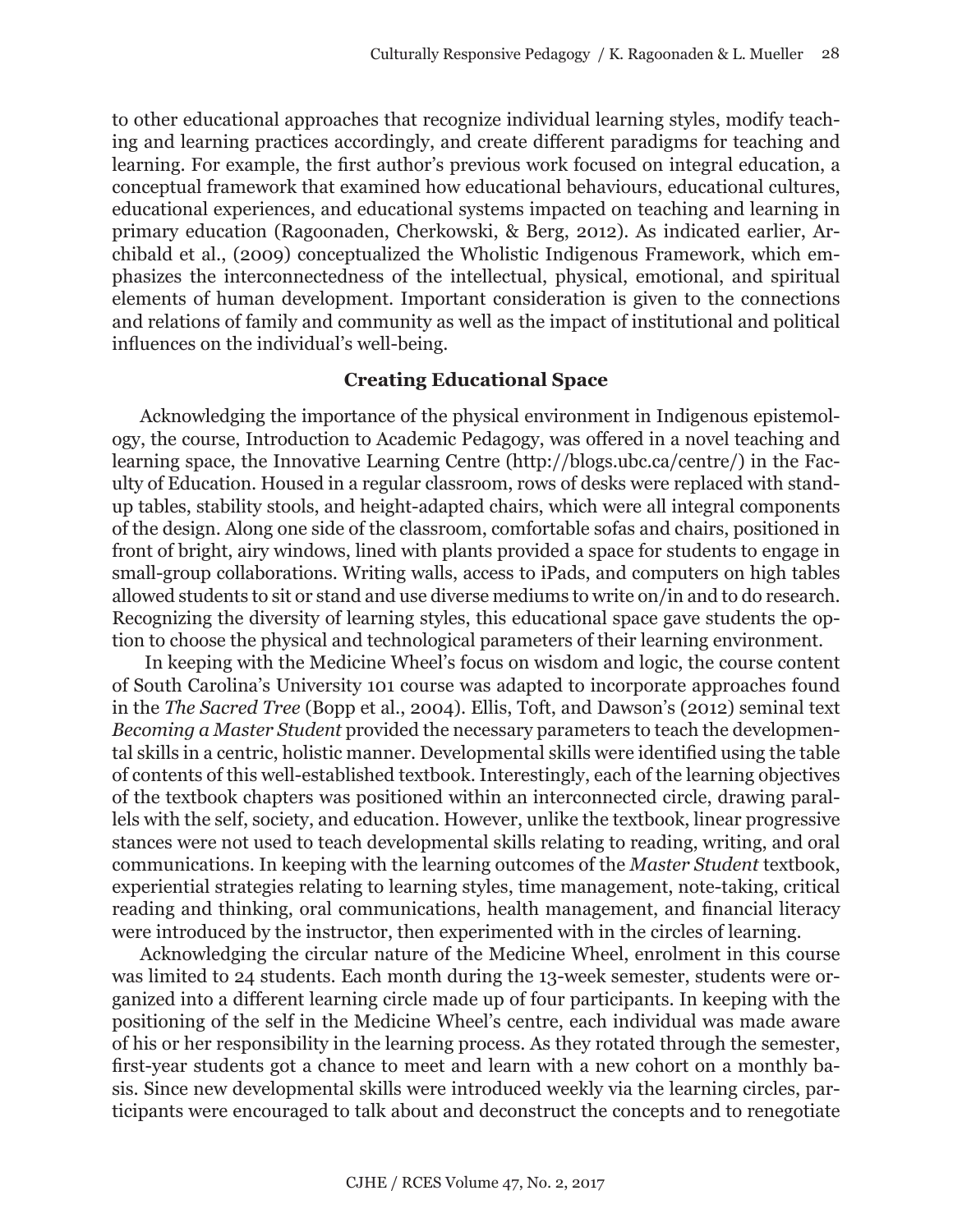to other educational approaches that recognize individual learning styles, modify teaching and learning practices accordingly, and create different paradigms for teaching and learning. For example, the first author's previous work focused on integral education, a conceptual framework that examined how educational behaviours, educational cultures, educational experiences, and educational systems impacted on teaching and learning in primary education (Ragoonaden, Cherkowski, & Berg, 2012). As indicated earlier, Archibald et al., (2009) conceptualized the Wholistic Indigenous Framework, which emphasizes the interconnectedness of the intellectual, physical, emotional, and spiritual elements of human development. Important consideration is given to the connections and relations of family and community as well as the impact of institutional and political influences on the individual's well-being.

#### **Creating Educational Space**

Acknowledging the importance of the physical environment in Indigenous epistemology, the course, Introduction to Academic Pedagogy, was offered in a novel teaching and learning space, the Innovative Learning Centre (http://blogs.ubc.ca/centre/) in the Faculty of Education. Housed in a regular classroom, rows of desks were replaced with standup tables, stability stools, and height-adapted chairs, which were all integral components of the design. Along one side of the classroom, comfortable sofas and chairs, positioned in front of bright, airy windows, lined with plants provided a space for students to engage in small-group collaborations. Writing walls, access to iPads, and computers on high tables allowed students to sit or stand and use diverse mediums to write on/in and to do research. Recognizing the diversity of learning styles, this educational space gave students the option to choose the physical and technological parameters of their learning environment.

 In keeping with the Medicine Wheel's focus on wisdom and logic, the course content of South Carolina's University 101 course was adapted to incorporate approaches found in the *The Sacred Tree* (Bopp et al., 2004). Ellis, Toft, and Dawson's (2012) seminal text *Becoming a Master Student* provided the necessary parameters to teach the developmental skills in a centric, holistic manner. Developmental skills were identified using the table of contents of this well-established textbook. Interestingly, each of the learning objectives of the textbook chapters was positioned within an interconnected circle, drawing parallels with the self, society, and education. However, unlike the textbook, linear progressive stances were not used to teach developmental skills relating to reading, writing, and oral communications. In keeping with the learning outcomes of the *Master Student* textbook, experiential strategies relating to learning styles, time management, note-taking, critical reading and thinking, oral communications, health management, and financial literacy were introduced by the instructor, then experimented with in the circles of learning.

Acknowledging the circular nature of the Medicine Wheel, enrolment in this course was limited to 24 students. Each month during the 13-week semester, students were organized into a different learning circle made up of four participants. In keeping with the positioning of the self in the Medicine Wheel's centre, each individual was made aware of his or her responsibility in the learning process. As they rotated through the semester, first-year students got a chance to meet and learn with a new cohort on a monthly basis. Since new developmental skills were introduced weekly via the learning circles, participants were encouraged to talk about and deconstruct the concepts and to renegotiate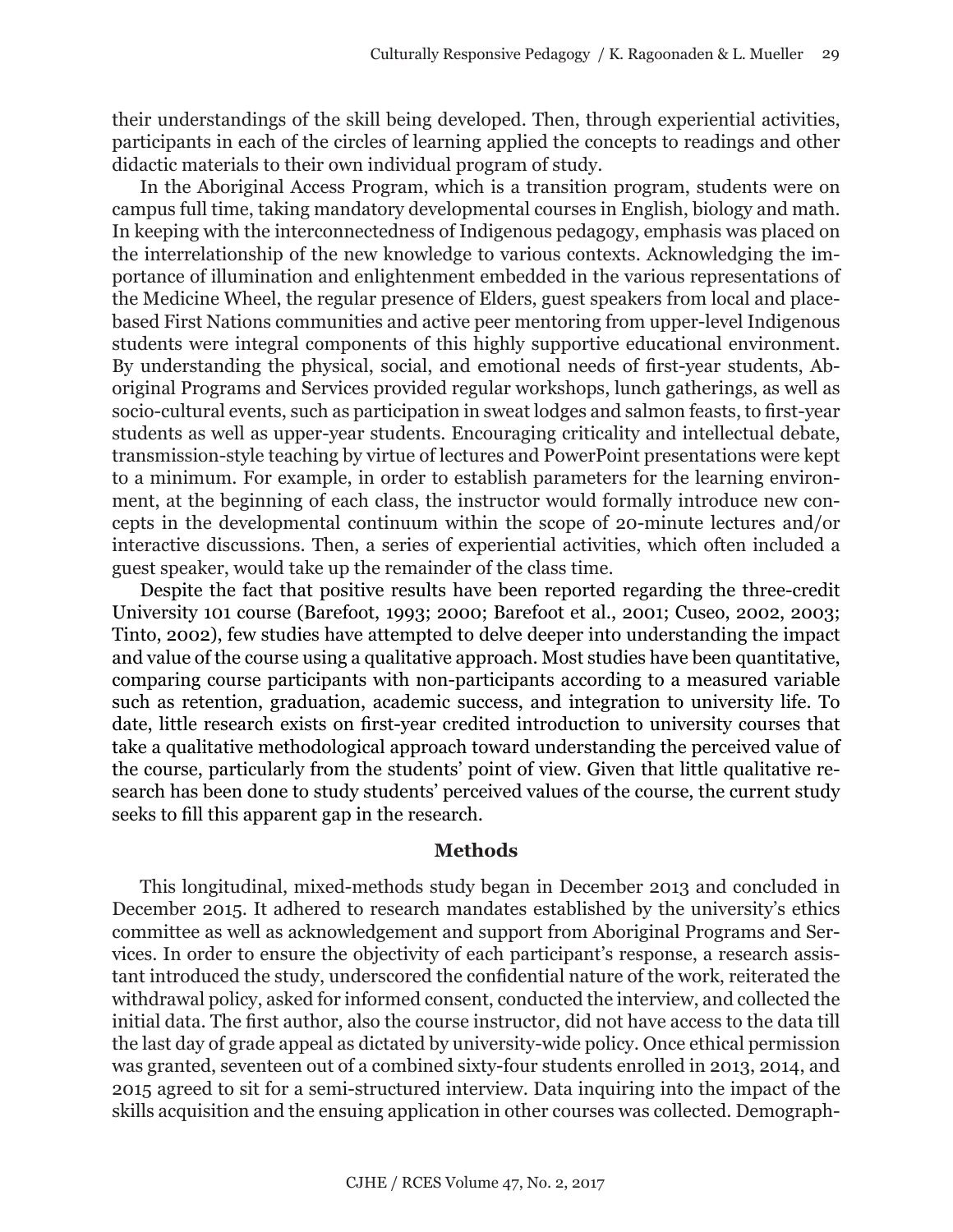their understandings of the skill being developed. Then, through experiential activities, participants in each of the circles of learning applied the concepts to readings and other didactic materials to their own individual program of study.

In the Aboriginal Access Program, which is a transition program, students were on campus full time, taking mandatory developmental courses in English, biology and math. In keeping with the interconnectedness of Indigenous pedagogy, emphasis was placed on the interrelationship of the new knowledge to various contexts. Acknowledging the importance of illumination and enlightenment embedded in the various representations of the Medicine Wheel, the regular presence of Elders, guest speakers from local and placebased First Nations communities and active peer mentoring from upper-level Indigenous students were integral components of this highly supportive educational environment. By understanding the physical, social, and emotional needs of first-year students, Aboriginal Programs and Services provided regular workshops, lunch gatherings, as well as socio-cultural events, such as participation in sweat lodges and salmon feasts, to first-year students as well as upper-year students. Encouraging criticality and intellectual debate, transmission-style teaching by virtue of lectures and PowerPoint presentations were kept to a minimum. For example, in order to establish parameters for the learning environment, at the beginning of each class, the instructor would formally introduce new concepts in the developmental continuum within the scope of 20-minute lectures and/or interactive discussions. Then, a series of experiential activities, which often included a guest speaker, would take up the remainder of the class time.

Despite the fact that positive results have been reported regarding the three-credit University 101 course (Barefoot, 1993; 2000; Barefoot et al., 2001; Cuseo, 2002, 2003; Tinto, 2002), few studies have attempted to delve deeper into understanding the impact and value of the course using a qualitative approach. Most studies have been quantitative, comparing course participants with non-participants according to a measured variable such as retention, graduation, academic success, and integration to university life. To date, little research exists on first-year credited introduction to university courses that take a qualitative methodological approach toward understanding the perceived value of the course, particularly from the students' point of view. Given that little qualitative research has been done to study students' perceived values of the course, the current study seeks to fill this apparent gap in the research.

#### **Methods**

This longitudinal, mixed-methods study began in December 2013 and concluded in December 2015. It adhered to research mandates established by the university's ethics committee as well as acknowledgement and support from Aboriginal Programs and Services. In order to ensure the objectivity of each participant's response, a research assistant introduced the study, underscored the confidential nature of the work, reiterated the withdrawal policy, asked for informed consent, conducted the interview, and collected the initial data. The first author, also the course instructor, did not have access to the data till the last day of grade appeal as dictated by university-wide policy. Once ethical permission was granted, seventeen out of a combined sixty-four students enrolled in 2013, 2014, and 2015 agreed to sit for a semi-structured interview. Data inquiring into the impact of the skills acquisition and the ensuing application in other courses was collected. Demograph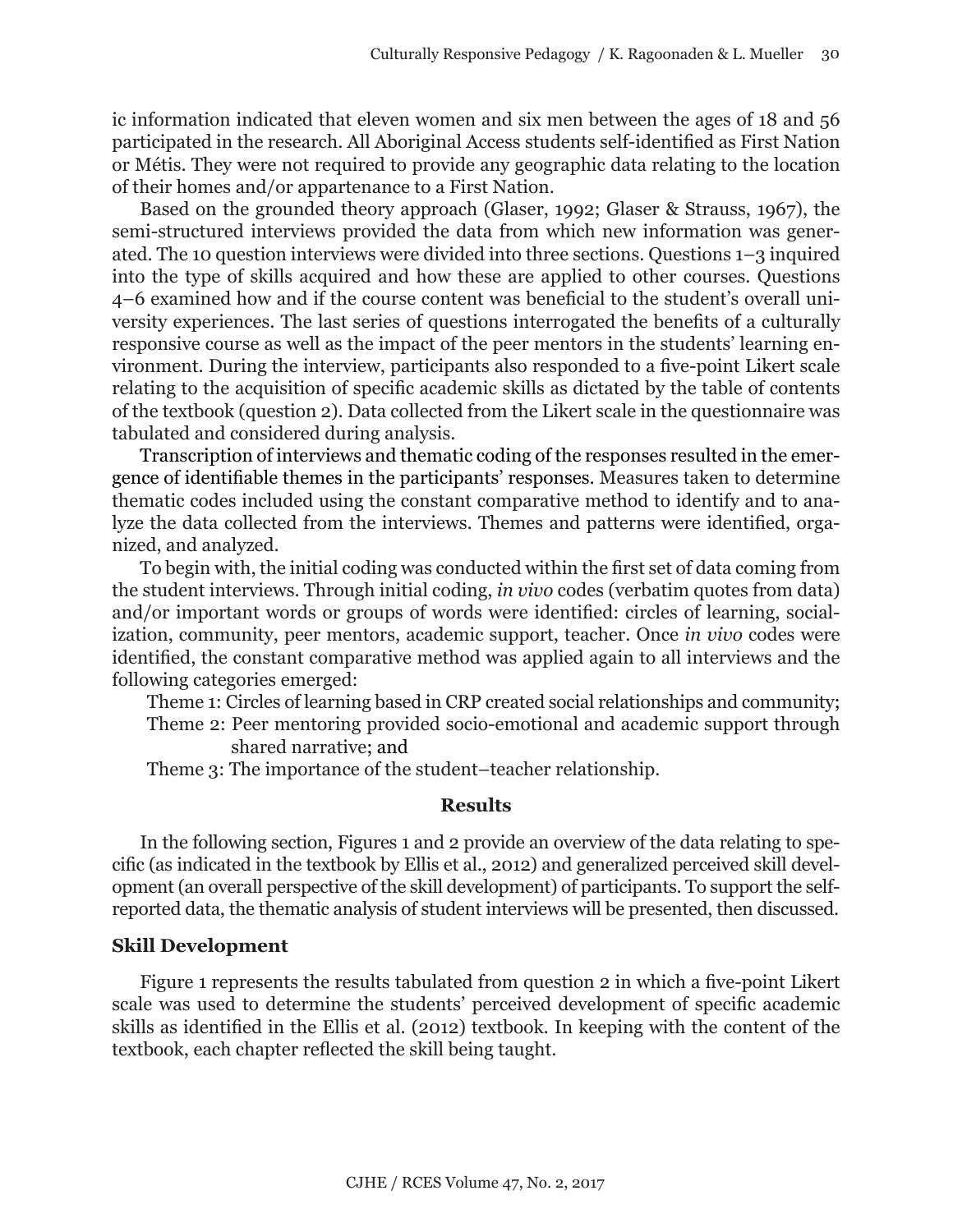ic information indicated that eleven women and six men between the ages of 18 and 56 participated in the research. All Aboriginal Access students self-identified as First Nation or Métis. They were not required to provide any geographic data relating to the location of their homes and/or appartenance to a First Nation.

Based on the grounded theory approach (Glaser, 1992; Glaser & Strauss, 1967), the semi-structured interviews provided the data from which new information was generated. The 10 question interviews were divided into three sections. Questions 1–3 inquired into the type of skills acquired and how these are applied to other courses. Questions 4–6 examined how and if the course content was beneficial to the student's overall university experiences. The last series of questions interrogated the benefits of a culturally responsive course as well as the impact of the peer mentors in the students' learning environment. During the interview, participants also responded to a five-point Likert scale relating to the acquisition of specific academic skills as dictated by the table of contents of the textbook (question 2). Data collected from the Likert scale in the questionnaire was tabulated and considered during analysis.

Transcription of interviews and thematic coding of the responses resulted in the emergence of identifiable themes in the participants' responses. Measures taken to determine thematic codes included using the constant comparative method to identify and to analyze the data collected from the interviews. Themes and patterns were identified, organized, and analyzed.

To begin with, the initial coding was conducted within the first set of data coming from the student interviews. Through initial coding, *in vivo* codes (verbatim quotes from data) and/or important words or groups of words were identified: circles of learning, socialization, community, peer mentors, academic support, teacher. Once *in vivo* codes were identified, the constant comparative method was applied again to all interviews and the following categories emerged:

Theme 1: Circles of learning based in CRP created social relationships and community; Theme 2: Peer mentoring provided socio-emotional and academic support through shared narrative; and

Theme 3: The importance of the student–teacher relationship.

#### **Results**

In the following section, Figures 1 and 2 provide an overview of the data relating to specific (as indicated in the textbook by Ellis et al., 2012) and generalized perceived skill development (an overall perspective of the skill development) of participants. To support the selfreported data, the thematic analysis of student interviews will be presented, then discussed.

#### **Skill Development**

Figure 1 represents the results tabulated from question 2 in which a five-point Likert scale was used to determine the students' perceived development of specific academic skills as identified in the Ellis et al. (2012) textbook. In keeping with the content of the textbook, each chapter reflected the skill being taught.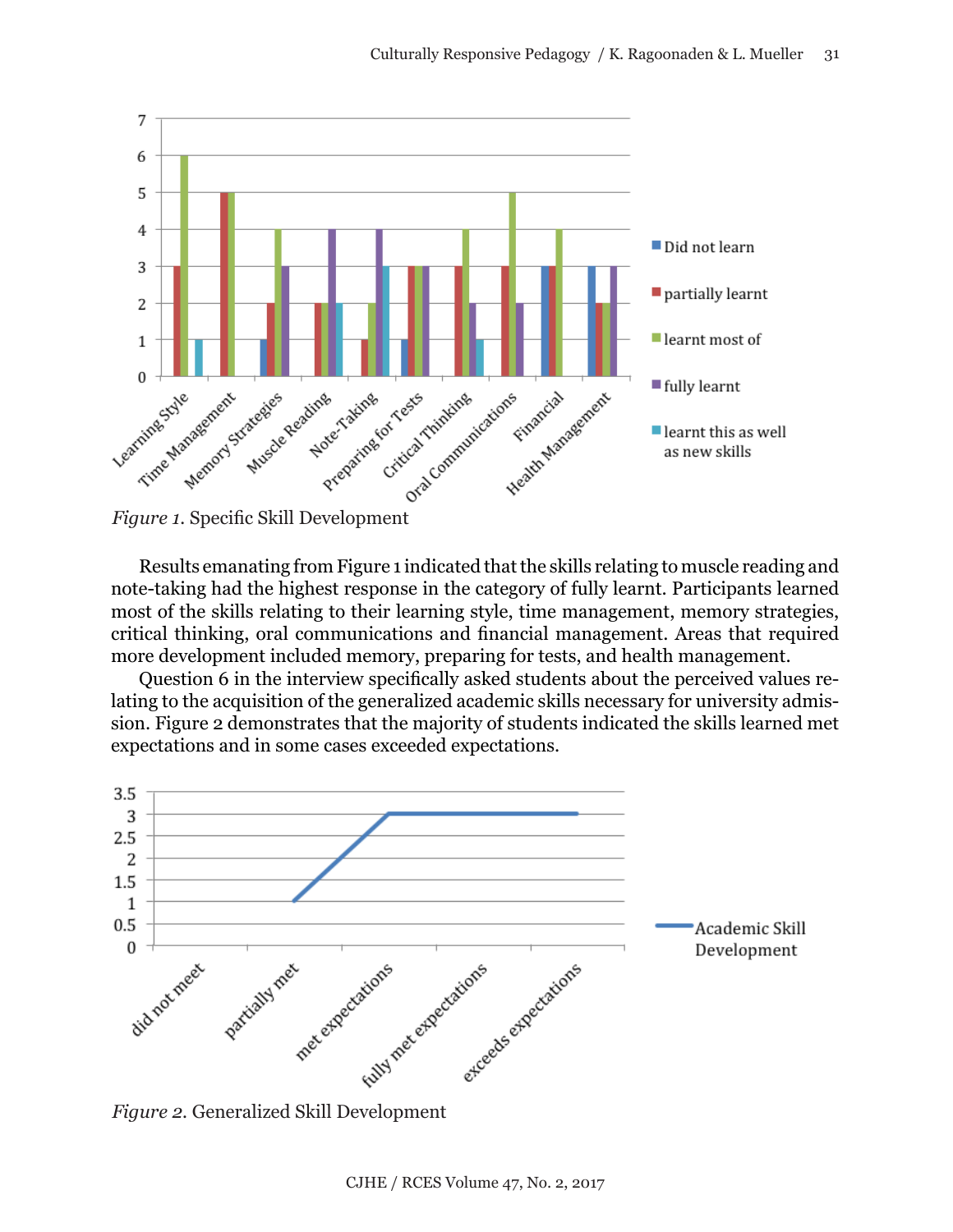



Results emanating from Figure 1 indicated that the skills relating to muscle reading and note-taking had the highest response in the category of fully learnt. Participants learned most of the skills relating to their learning style, time management, memory strategies, critical thinking, oral communications and financial management. Areas that required more development included memory, preparing for tests, and health management.

Question 6 in the interview specifically asked students about the perceived values relating to the acquisition of the generalized academic skills necessary for university admission. Figure 2 demonstrates that the majority of students indicated the skills learned met expectations and in some cases exceeded expectations.

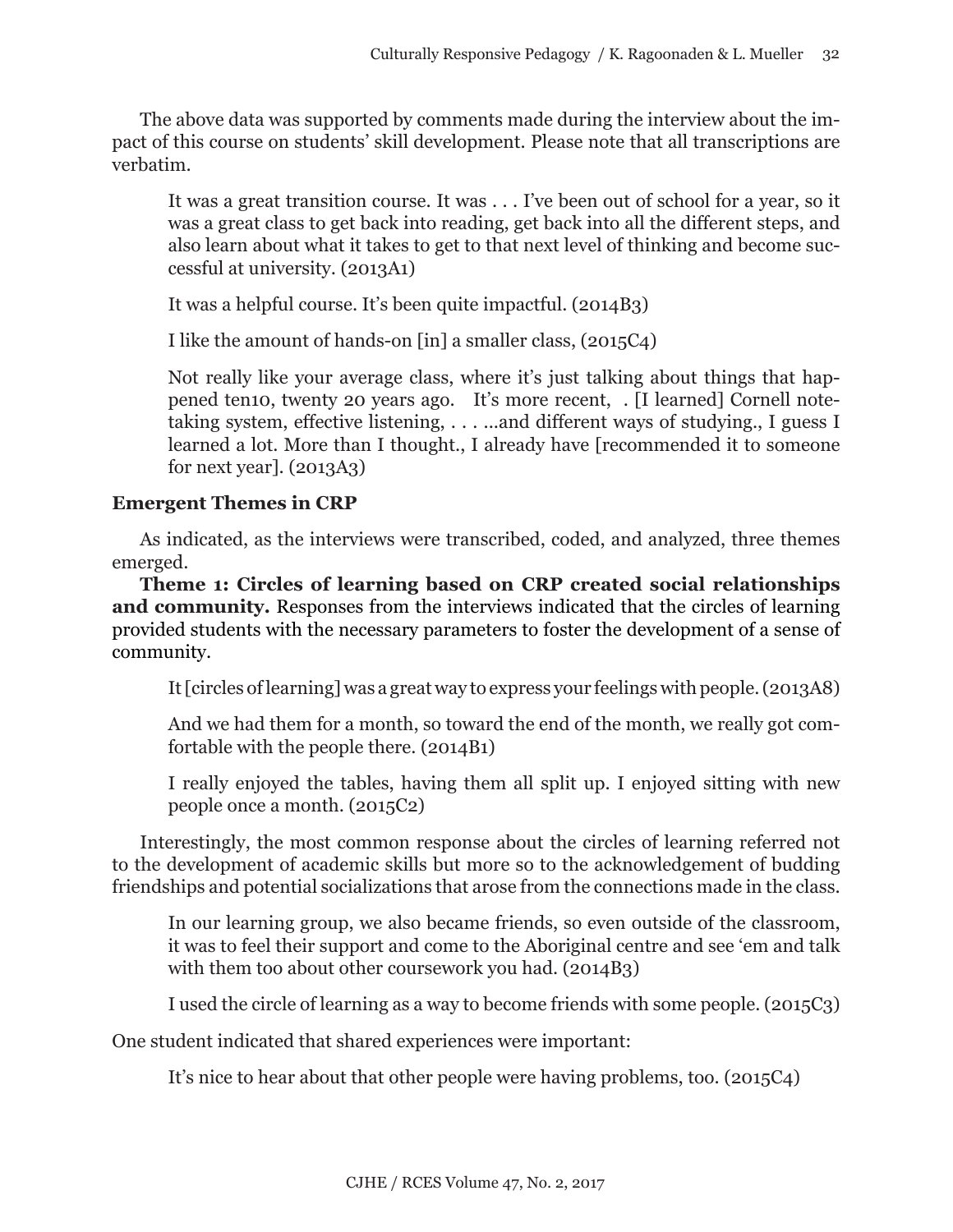The above data was supported by comments made during the interview about the impact of this course on students' skill development. Please note that all transcriptions are verbatim.

It was a great transition course. It was . . . I've been out of school for a year, so it was a great class to get back into reading, get back into all the different steps, and also learn about what it takes to get to that next level of thinking and become successful at university. (2013A1)

It was a helpful course. It's been quite impactful. (2014B3)

I like the amount of hands-on [in] a smaller class, (2015C4)

Not really like your average class, where it's just talking about things that happened ten10, twenty 20 years ago. It's more recent, . [I learned] Cornell notetaking system, effective listening, . . . ...and different ways of studying., I guess I learned a lot. More than I thought., I already have [recommended it to someone for next year]. (2013A3)

# **Emergent Themes in CRP**

As indicated, as the interviews were transcribed, coded, and analyzed, three themes emerged.

**Theme 1: Circles of learning based on CRP created social relationships and community.** Responses from the interviews indicated that the circles of learning provided students with the necessary parameters to foster the development of a sense of community.

It [circles of learning] was a great way to express your feelings with people. (2013A8)

And we had them for a month, so toward the end of the month, we really got comfortable with the people there. (2014B1)

I really enjoyed the tables, having them all split up. I enjoyed sitting with new people once a month. (2015C2)

Interestingly, the most common response about the circles of learning referred not to the development of academic skills but more so to the acknowledgement of budding friendships and potential socializations that arose from the connections made in the class.

In our learning group, we also became friends, so even outside of the classroom, it was to feel their support and come to the Aboriginal centre and see 'em and talk with them too about other coursework you had. (2014B3)

I used the circle of learning as a way to become friends with some people. (2015C3)

One student indicated that shared experiences were important:

It's nice to hear about that other people were having problems, too. (2015C4)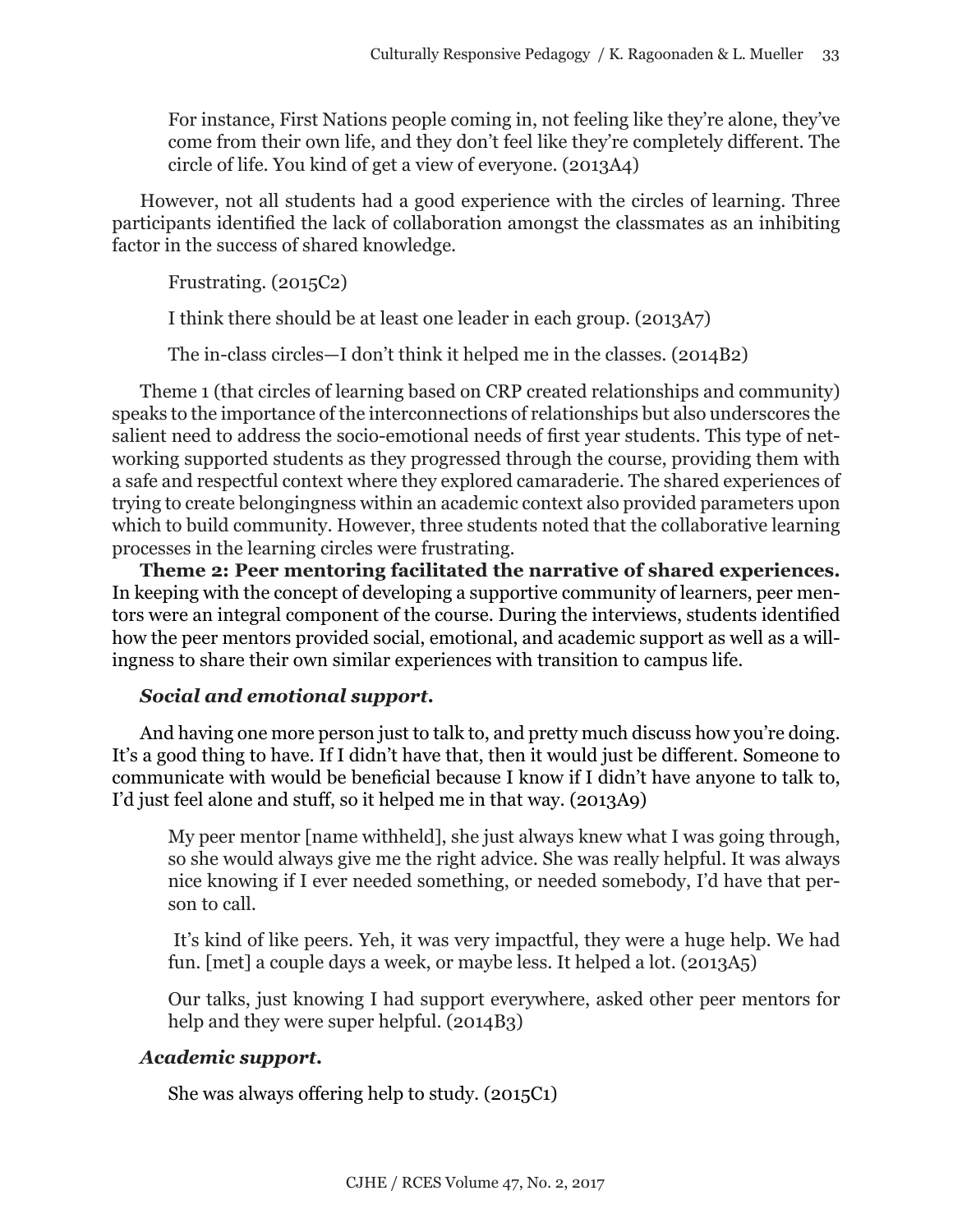For instance, First Nations people coming in, not feeling like they're alone, they've come from their own life, and they don't feel like they're completely different. The circle of life. You kind of get a view of everyone. (2013A4)

However, not all students had a good experience with the circles of learning. Three participants identified the lack of collaboration amongst the classmates as an inhibiting factor in the success of shared knowledge.

Frustrating. (2015C2)

I think there should be at least one leader in each group. (2013A7)

The in-class circles—I don't think it helped me in the classes. (2014B2)

Theme 1 (that circles of learning based on CRP created relationships and community) speaks to the importance of the interconnections of relationships but also underscores the salient need to address the socio-emotional needs of first year students. This type of networking supported students as they progressed through the course, providing them with a safe and respectful context where they explored camaraderie. The shared experiences of trying to create belongingness within an academic context also provided parameters upon which to build community. However, three students noted that the collaborative learning processes in the learning circles were frustrating.

**Theme 2: Peer mentoring facilitated the narrative of shared experiences.**  In keeping with the concept of developing a supportive community of learners, peer mentors were an integral component of the course. During the interviews, students identified how the peer mentors provided social, emotional, and academic support as well as a willingness to share their own similar experiences with transition to campus life.

# *Social and emotional support.*

And having one more person just to talk to, and pretty much discuss how you're doing. It's a good thing to have. If I didn't have that, then it would just be different. Someone to communicate with would be beneficial because I know if I didn't have anyone to talk to, I'd just feel alone and stuff, so it helped me in that way. (2013A9)

My peer mentor [name withheld], she just always knew what I was going through, so she would always give me the right advice. She was really helpful. It was always nice knowing if I ever needed something, or needed somebody, I'd have that person to call.

 It's kind of like peers. Yeh, it was very impactful, they were a huge help. We had fun. [met] a couple days a week, or maybe less. It helped a lot. (2013A5)

Our talks, just knowing I had support everywhere, asked other peer mentors for help and they were super helpful. (2014B3)

# *Academic support.*

She was always offering help to study. (2015C1)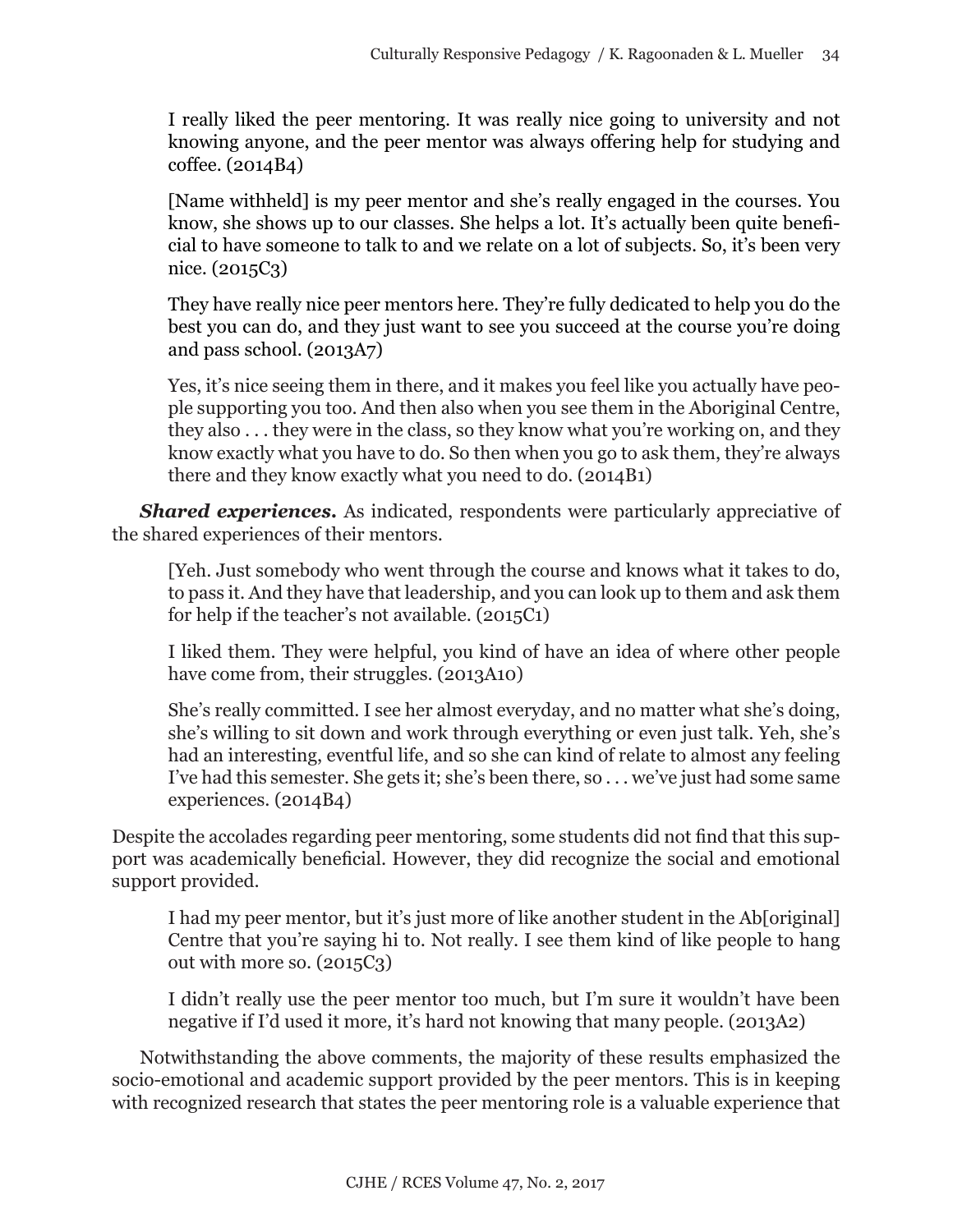I really liked the peer mentoring. It was really nice going to university and not knowing anyone, and the peer mentor was always offering help for studying and coffee. (2014B4)

[Name withheld] is my peer mentor and she's really engaged in the courses. You know, she shows up to our classes. She helps a lot. It's actually been quite beneficial to have someone to talk to and we relate on a lot of subjects. So, it's been very nice. (2015C3)

They have really nice peer mentors here. They're fully dedicated to help you do the best you can do, and they just want to see you succeed at the course you're doing and pass school. (2013A7)

Yes, it's nice seeing them in there, and it makes you feel like you actually have people supporting you too. And then also when you see them in the Aboriginal Centre, they also . . . they were in the class, so they know what you're working on, and they know exactly what you have to do. So then when you go to ask them, they're always there and they know exactly what you need to do. (2014B1)

**Shared experiences.** As indicated, respondents were particularly appreciative of the shared experiences of their mentors.

[Yeh. Just somebody who went through the course and knows what it takes to do, to pass it. And they have that leadership, and you can look up to them and ask them for help if the teacher's not available. (2015C1)

I liked them. They were helpful, you kind of have an idea of where other people have come from, their struggles. (2013A10)

She's really committed. I see her almost everyday, and no matter what she's doing, she's willing to sit down and work through everything or even just talk. Yeh, she's had an interesting, eventful life, and so she can kind of relate to almost any feeling I've had this semester. She gets it; she's been there, so . . . we've just had some same experiences. (2014B4)

Despite the accolades regarding peer mentoring, some students did not find that this support was academically beneficial. However, they did recognize the social and emotional support provided.

I had my peer mentor, but it's just more of like another student in the Ab[original] Centre that you're saying hi to. Not really. I see them kind of like people to hang out with more so. (2015C3)

I didn't really use the peer mentor too much, but I'm sure it wouldn't have been negative if I'd used it more, it's hard not knowing that many people. (2013A2)

Notwithstanding the above comments, the majority of these results emphasized the socio-emotional and academic support provided by the peer mentors. This is in keeping with recognized research that states the peer mentoring role is a valuable experience that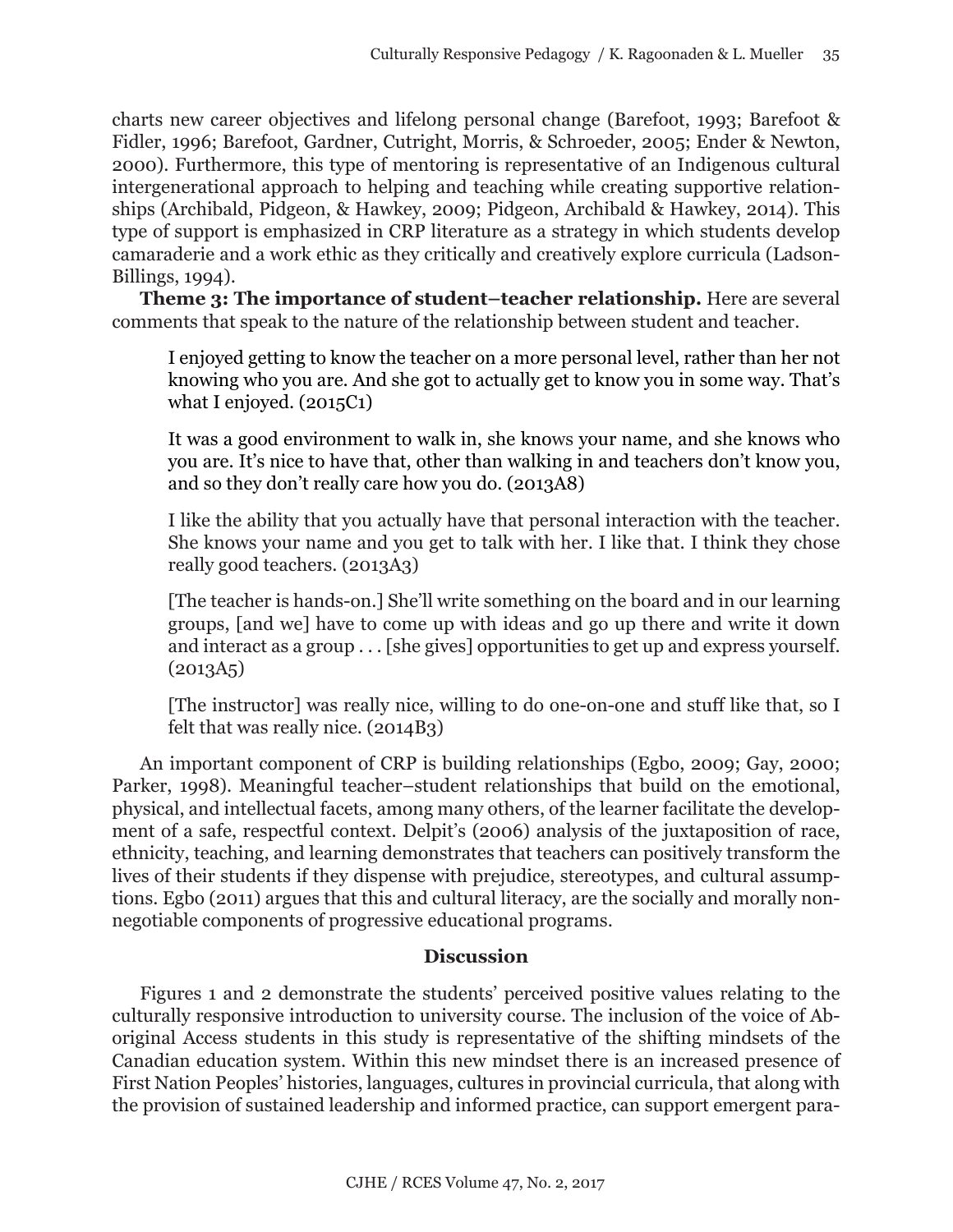charts new career objectives and lifelong personal change (Barefoot, 1993; Barefoot & Fidler, 1996; Barefoot, Gardner, Cutright, Morris, & Schroeder, 2005; Ender & Newton, 2000). Furthermore, this type of mentoring is representative of an Indigenous cultural intergenerational approach to helping and teaching while creating supportive relationships (Archibald, Pidgeon, & Hawkey, 2009; Pidgeon, Archibald & Hawkey, 2014). This type of support is emphasized in CRP literature as a strategy in which students develop camaraderie and a work ethic as they critically and creatively explore curricula (Ladson-Billings, 1994).

**Theme 3: The importance of student–teacher relationship.** Here are several comments that speak to the nature of the relationship between student and teacher.

I enjoyed getting to know the teacher on a more personal level, rather than her not knowing who you are. And she got to actually get to know you in some way. That's what I enjoyed. (2015C1)

It was a good environment to walk in, she knows your name, and she knows who you are. It's nice to have that, other than walking in and teachers don't know you, and so they don't really care how you do. (2013A8)

I like the ability that you actually have that personal interaction with the teacher. She knows your name and you get to talk with her. I like that. I think they chose really good teachers. (2013A3)

[The teacher is hands-on.] She'll write something on the board and in our learning groups, [and we] have to come up with ideas and go up there and write it down and interact as a group . . . [she gives] opportunities to get up and express yourself.  $(2013A5)$ 

[The instructor] was really nice, willing to do one-on-one and stuff like that, so I felt that was really nice. (2014B3)

An important component of CRP is building relationships (Egbo, 2009; Gay, 2000; Parker, 1998). Meaningful teacher–student relationships that build on the emotional, physical, and intellectual facets, among many others, of the learner facilitate the development of a safe, respectful context. Delpit's (2006) analysis of the juxtaposition of race, ethnicity, teaching, and learning demonstrates that teachers can positively transform the lives of their students if they dispense with prejudice, stereotypes, and cultural assumptions. Egbo (2011) argues that this and cultural literacy, are the socially and morally nonnegotiable components of progressive educational programs.

# **Discussion**

Figures 1 and 2 demonstrate the students' perceived positive values relating to the culturally responsive introduction to university course. The inclusion of the voice of Aboriginal Access students in this study is representative of the shifting mindsets of the Canadian education system. Within this new mindset there is an increased presence of First Nation Peoples' histories, languages, cultures in provincial curricula, that along with the provision of sustained leadership and informed practice, can support emergent para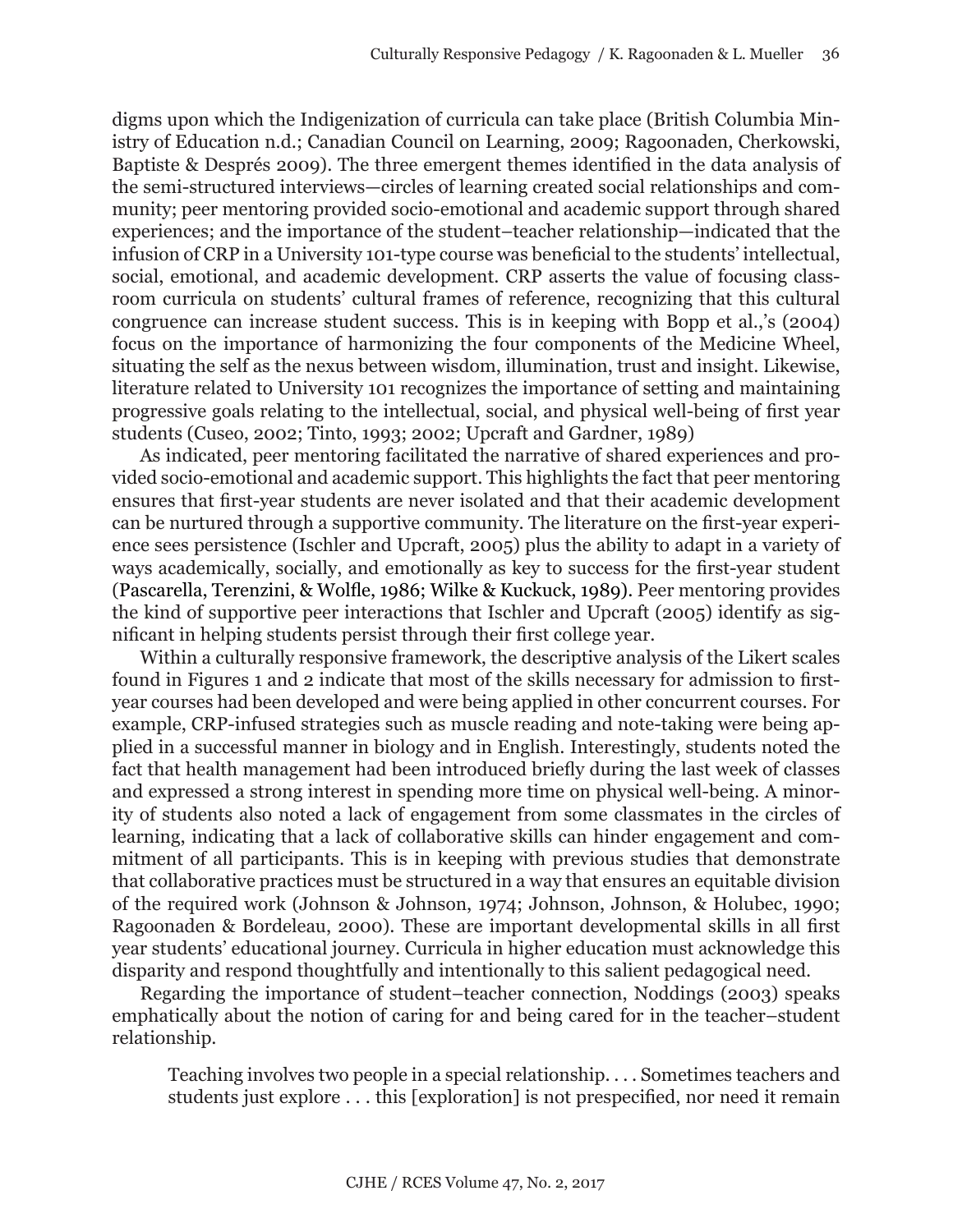digms upon which the Indigenization of curricula can take place (British Columbia Ministry of Education n.d.; Canadian Council on Learning, 2009; Ragoonaden, Cherkowski, Baptiste & Després 2009). The three emergent themes identified in the data analysis of the semi-structured interviews—circles of learning created social relationships and community; peer mentoring provided socio-emotional and academic support through shared experiences; and the importance of the student–teacher relationship—indicated that the infusion of CRP in a University 101-type course was beneficial to the students' intellectual, social, emotional, and academic development. CRP asserts the value of focusing classroom curricula on students' cultural frames of reference, recognizing that this cultural congruence can increase student success. This is in keeping with Bopp et al.,'s (2004) focus on the importance of harmonizing the four components of the Medicine Wheel, situating the self as the nexus between wisdom, illumination, trust and insight. Likewise, literature related to University 101 recognizes the importance of setting and maintaining progressive goals relating to the intellectual, social, and physical well-being of first year students (Cuseo, 2002; Tinto, 1993; 2002; Upcraft and Gardner, 1989)

As indicated, peer mentoring facilitated the narrative of shared experiences and provided socio-emotional and academic support. This highlights the fact that peer mentoring ensures that first-year students are never isolated and that their academic development can be nurtured through a supportive community. The literature on the first-year experience sees persistence (Ischler and Upcraft, 2005) plus the ability to adapt in a variety of ways academically, socially, and emotionally as key to success for the first-year student (Pascarella, Terenzini, & Wolfle, 1986; Wilke & Kuckuck, 1989). Peer mentoring provides the kind of supportive peer interactions that Ischler and Upcraft (2005) identify as significant in helping students persist through their first college year.

Within a culturally responsive framework, the descriptive analysis of the Likert scales found in Figures 1 and 2 indicate that most of the skills necessary for admission to firstyear courses had been developed and were being applied in other concurrent courses. For example, CRP-infused strategies such as muscle reading and note-taking were being applied in a successful manner in biology and in English. Interestingly, students noted the fact that health management had been introduced briefly during the last week of classes and expressed a strong interest in spending more time on physical well-being. A minority of students also noted a lack of engagement from some classmates in the circles of learning, indicating that a lack of collaborative skills can hinder engagement and commitment of all participants. This is in keeping with previous studies that demonstrate that collaborative practices must be structured in a way that ensures an equitable division of the required work (Johnson & Johnson, 1974; Johnson, Johnson, & Holubec, 1990; Ragoonaden & Bordeleau, 2000). These are important developmental skills in all first year students' educational journey. Curricula in higher education must acknowledge this disparity and respond thoughtfully and intentionally to this salient pedagogical need.

Regarding the importance of student–teacher connection, Noddings (2003) speaks emphatically about the notion of caring for and being cared for in the teacher–student relationship.

Teaching involves two people in a special relationship. . . . Sometimes teachers and students just explore . . . this [exploration] is not prespecified, nor need it remain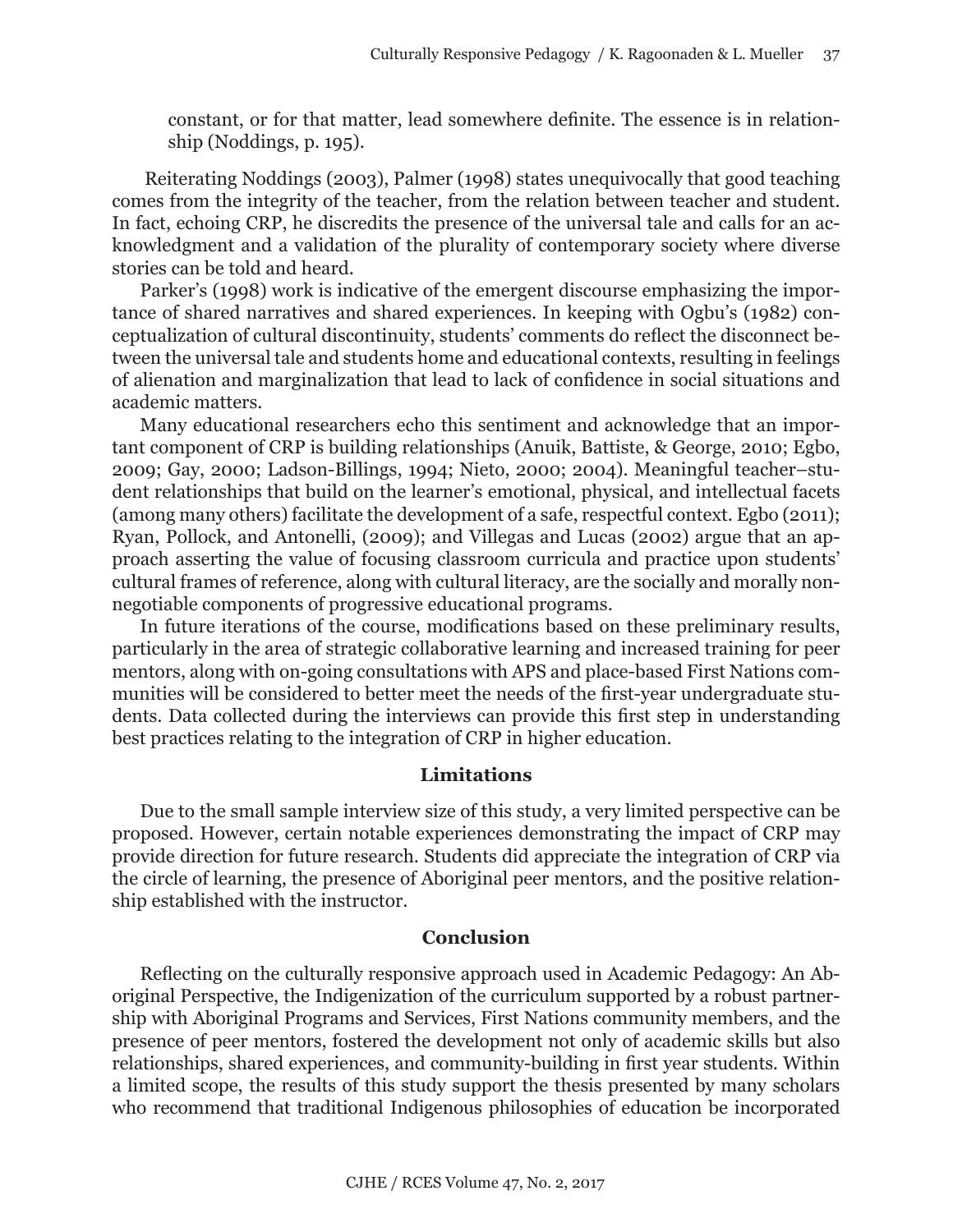constant, or for that matter, lead somewhere definite. The essence is in relationship (Noddings, p. 195).

 Reiterating Noddings (2003), Palmer (1998) states unequivocally that good teaching comes from the integrity of the teacher, from the relation between teacher and student. In fact, echoing CRP, he discredits the presence of the universal tale and calls for an acknowledgment and a validation of the plurality of contemporary society where diverse stories can be told and heard.

Parker's (1998) work is indicative of the emergent discourse emphasizing the importance of shared narratives and shared experiences. In keeping with Ogbu's (1982) conceptualization of cultural discontinuity, students' comments do reflect the disconnect between the universal tale and students home and educational contexts, resulting in feelings of alienation and marginalization that lead to lack of confidence in social situations and academic matters.

Many educational researchers echo this sentiment and acknowledge that an important component of CRP is building relationships (Anuik, Battiste, & George, 2010; Egbo, 2009; Gay, 2000; Ladson-Billings, 1994; Nieto, 2000; 2004). Meaningful teacher–student relationships that build on the learner's emotional, physical, and intellectual facets (among many others) facilitate the development of a safe, respectful context. Egbo (2011); Ryan, Pollock, and Antonelli, (2009); and Villegas and Lucas (2002) argue that an approach asserting the value of focusing classroom curricula and practice upon students' cultural frames of reference, along with cultural literacy, are the socially and morally nonnegotiable components of progressive educational programs.

In future iterations of the course, modifications based on these preliminary results, particularly in the area of strategic collaborative learning and increased training for peer mentors, along with on-going consultations with APS and place-based First Nations communities will be considered to better meet the needs of the first-year undergraduate students. Data collected during the interviews can provide this first step in understanding best practices relating to the integration of CRP in higher education.

#### **Limitations**

Due to the small sample interview size of this study, a very limited perspective can be proposed. However, certain notable experiences demonstrating the impact of CRP may provide direction for future research. Students did appreciate the integration of CRP via the circle of learning, the presence of Aboriginal peer mentors, and the positive relationship established with the instructor.

#### **Conclusion**

Reflecting on the culturally responsive approach used in Academic Pedagogy: An Aboriginal Perspective, the Indigenization of the curriculum supported by a robust partnership with Aboriginal Programs and Services, First Nations community members, and the presence of peer mentors, fostered the development not only of academic skills but also relationships, shared experiences, and community-building in first year students. Within a limited scope, the results of this study support the thesis presented by many scholars who recommend that traditional Indigenous philosophies of education be incorporated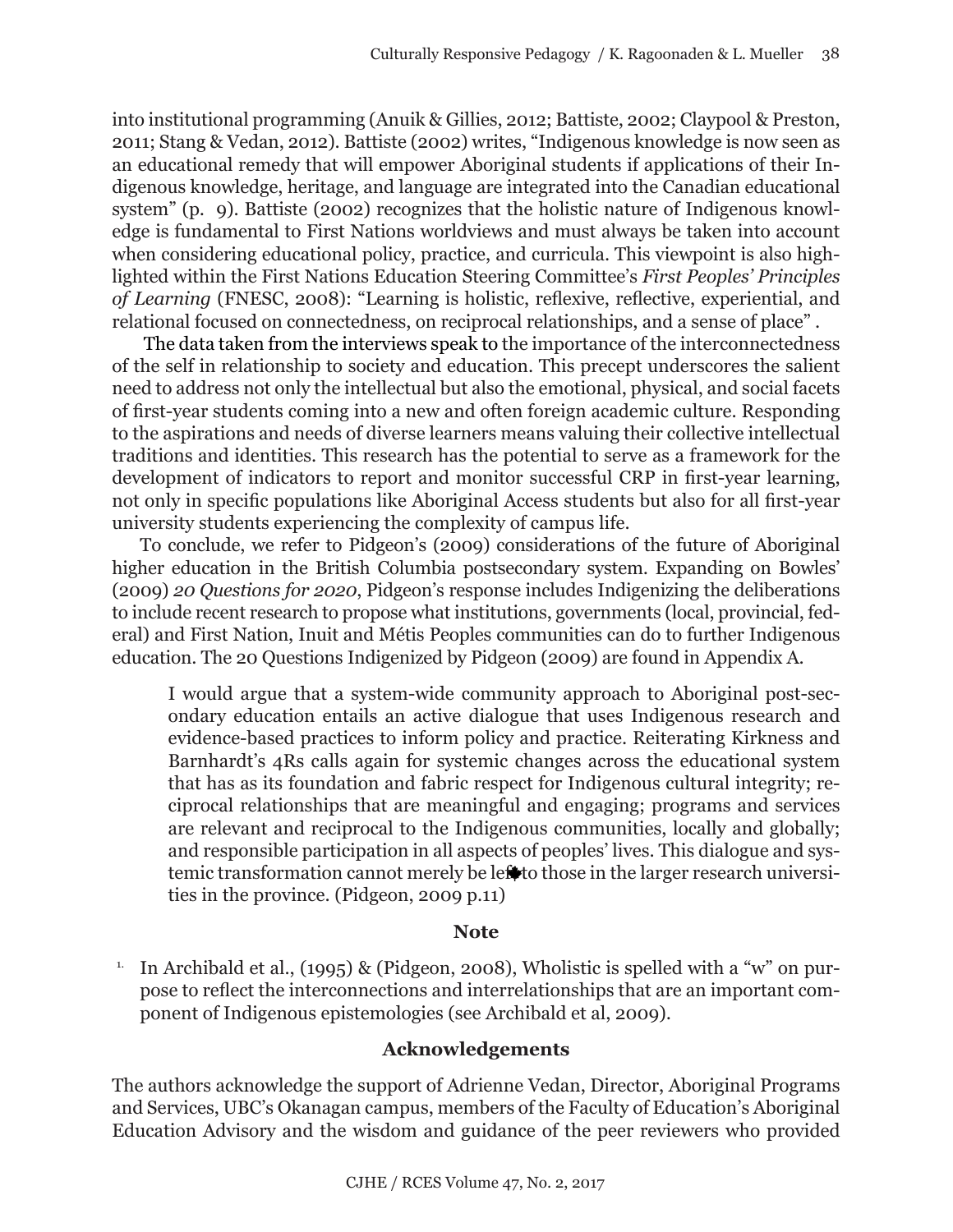into institutional programming (Anuik & Gillies, 2012; Battiste, 2002; Claypool & Preston, 2011; Stang & Vedan, 2012). Battiste (2002) writes, "Indigenous knowledge is now seen as an educational remedy that will empower Aboriginal students if applications of their Indigenous knowledge, heritage, and language are integrated into the Canadian educational system" (p. 9). Battiste (2002) recognizes that the holistic nature of Indigenous knowledge is fundamental to First Nations worldviews and must always be taken into account when considering educational policy, practice, and curricula. This viewpoint is also highlighted within the First Nations Education Steering Committee's *First Peoples' Principles of Learning* (FNESC, 2008): "Learning is holistic, reflexive, reflective, experiential, and relational focused on connectedness, on reciprocal relationships, and a sense of place" .

 The data taken from the interviews speak to the importance of the interconnectedness of the self in relationship to society and education. This precept underscores the salient need to address not only the intellectual but also the emotional, physical, and social facets of first-year students coming into a new and often foreign academic culture. Responding to the aspirations and needs of diverse learners means valuing their collective intellectual traditions and identities. This research has the potential to serve as a framework for the development of indicators to report and monitor successful CRP in first-year learning, not only in specific populations like Aboriginal Access students but also for all first-year university students experiencing the complexity of campus life.

To conclude, we refer to Pidgeon's (2009) considerations of the future of Aboriginal higher education in the British Columbia postsecondary system. Expanding on Bowles' (2009) *20 Questions for 2020*, Pidgeon's response includes Indigenizing the deliberations to include recent research to propose what institutions, governments (local, provincial, federal) and First Nation, Inuit and Métis Peoples communities can do to further Indigenous education. The 20 Questions Indigenized by Pidgeon (2009) are found in Appendix A.

I would argue that a system-wide community approach to Aboriginal post-secondary education entails an active dialogue that uses Indigenous research and evidence-based practices to inform policy and practice. Reiterating Kirkness and Barnhardt's 4Rs calls again for systemic changes across the educational system that has as its foundation and fabric respect for Indigenous cultural integrity; reciprocal relationships that are meaningful and engaging; programs and services are relevant and reciprocal to the Indigenous communities, locally and globally; and responsible participation in all aspects of peoples' lives. This dialogue and systemic transformation cannot merely be left to those in the larger research universities in the province. (Pidgeon, 2009 p.11)

# **Note**

<sup>1.</sup> In Archibald et al., (1995) & (Pidgeon, 2008), Wholistic is spelled with a "w" on purpose to reflect the interconnections and interrelationships that are an important component of Indigenous epistemologies (see Archibald et al, 2009).

# **Acknowledgements**

The authors acknowledge the support of Adrienne Vedan, Director, Aboriginal Programs and Services, UBC's Okanagan campus, members of the Faculty of Education's Aboriginal Education Advisory and the wisdom and guidance of the peer reviewers who provided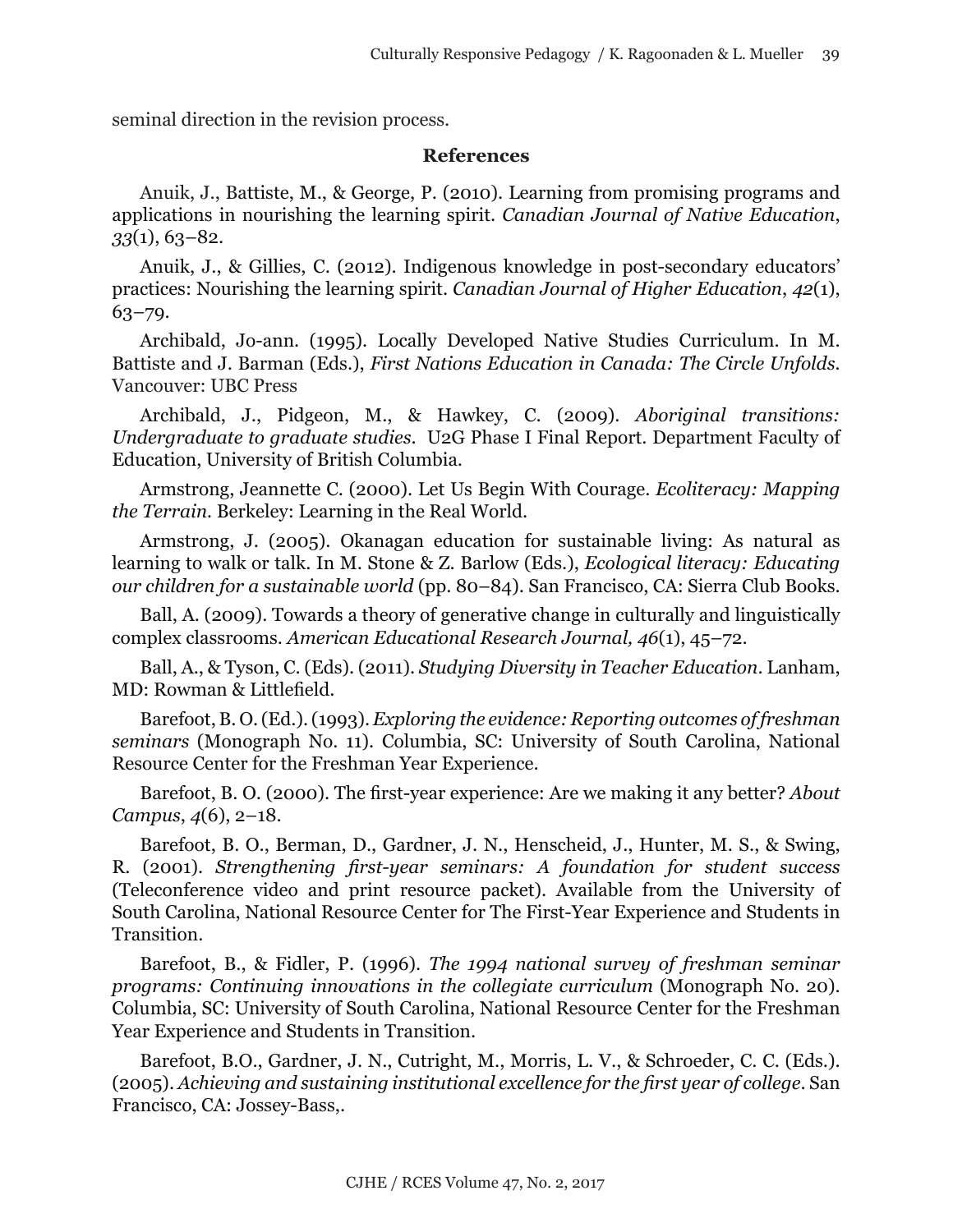seminal direction in the revision process.

#### **References**

Anuik, J., Battiste, M., & George, P. (2010). Learning from promising programs and applications in nourishing the learning spirit. *Canadian Journal of Native Education*, *33*(1), 63–82.

Anuik, J., & Gillies, C. (2012). Indigenous knowledge in post-secondary educators' practices: Nourishing the learning spirit. *Canadian Journal of Higher Education*, *42*(1),  $63 - 79.$ 

Archibald, Jo-ann. (1995). Locally Developed Native Studies Curriculum. In M. Battiste and J. Barman (Eds.), *First Nations Education in Canada: The Circle Unfolds.* Vancouver: UBC Press

Archibald, J., Pidgeon, M., & Hawkey, C. (2009). *Aboriginal transitions: Undergraduate to graduate studies*. U2G Phase I Final Report. Department Faculty of Education, University of British Columbia.

Armstrong, Jeannette C. (2000). Let Us Begin With Courage. *Ecoliteracy: Mapping the Terrain.* Berkeley: Learning in the Real World.

Armstrong, J. (2005). Okanagan education for sustainable living: As natural as learning to walk or talk. In M. Stone & Z. Barlow (Eds.), *Ecological literacy: Educating our children for a sustainable world* (pp. 80–84). San Francisco, CA: Sierra Club Books.

Ball, A. (2009). Towards a theory of generative change in culturally and linguistically complex classrooms. *American Educational Research Journal, 46*(1), 45–72.

Ball, A., & Tyson, C. (Eds). (2011). *Studying Diversity in Teacher Education*. Lanham, MD: Rowman & Littlefield.

Barefoot, B. O. (Ed.).(1993). *Exploring the evidence: Reporting outcomes of freshman seminars* (Monograph No. 11). Columbia, SC: University of South Carolina, National Resource Center for the Freshman Year Experience.

Barefoot, B. O. (2000). The first-year experience: Are we making it any better? *About Campus*, *4*(6), 2–18.

Barefoot, B. O., Berman, D., Gardner, J. N., Henscheid, J., Hunter, M. S., & Swing, R. (2001). *Strengthening first-year seminars: A foundation for student success* (Teleconference video and print resource packet). Available from the University of South Carolina, National Resource Center for The First-Year Experience and Students in Transition.

Barefoot, B., & Fidler, P. (1996). *The 1994 national survey of freshman seminar programs: Continuing innovations in the collegiate curriculum* (Monograph No. 20). Columbia, SC: University of South Carolina, National Resource Center for the Freshman Year Experience and Students in Transition.

Barefoot, B.O., Gardner, J. N., Cutright, M., Morris, L. V., & Schroeder, C. C. (Eds.). (2005). *Achieving and sustaining institutional excellence for the first year of college*. San Francisco, CA: Jossey-Bass,.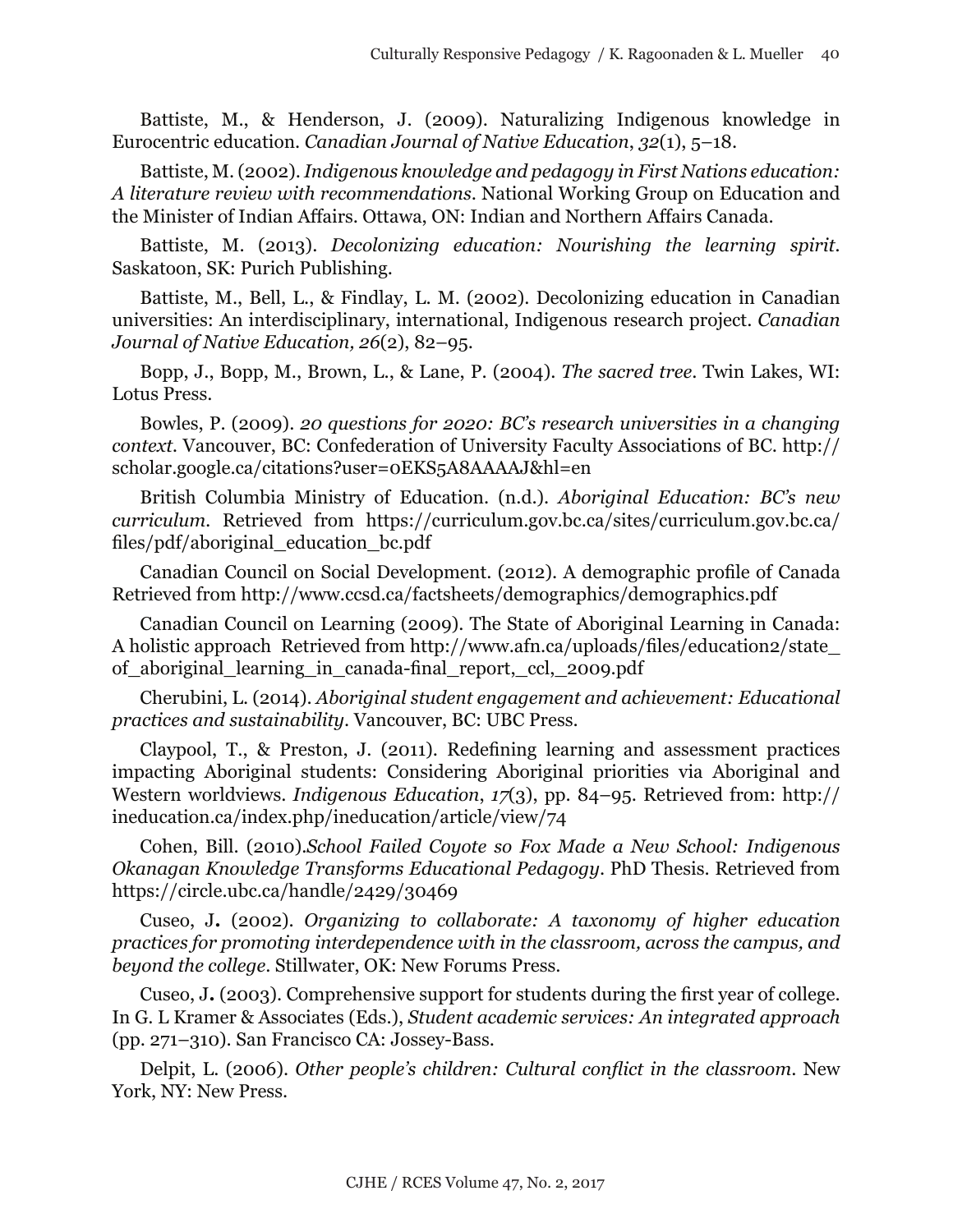Battiste, M., & Henderson, J. (2009). Naturalizing Indigenous knowledge in Eurocentric education. *Canadian Journal of Native Education*, *32*(1), 5–18.

Battiste, M. (2002). *Indigenous knowledge and pedagogy in First Nations education: A literature review with recommendations*. National Working Group on Education and the Minister of Indian Affairs. Ottawa, ON: Indian and Northern Affairs Canada.

Battiste, M. (2013). *Decolonizing education: Nourishing the learning spirit.* Saskatoon, SK: Purich Publishing.

Battiste, M., Bell, L., & Findlay, L. M. (2002). Decolonizing education in Canadian universities: An interdisciplinary, international, Indigenous research project. *Canadian Journal of Native Education, 26*(2), 82–95.

Bopp, J., Bopp, M., Brown, L., & Lane, P. (2004). *The sacred tree*. Twin Lakes, WI: Lotus Press.

Bowles, P. (2009). *20 questions for 2020: BC's research universities in a changing context.* Vancouver, BC: Confederation of University Faculty Associations of BC. http:// scholar.google.ca/citations?user=0EKS5A8AAAAJ&hl=en

British Columbia Ministry of Education. (n.d.). *Aboriginal Education: BC's new curriculum.* Retrieved from https://curriculum.gov.bc.ca/sites/curriculum.gov.bc.ca/ files/pdf/aboriginal\_education\_bc.pdf

Canadian Council on Social Development. (2012). A demographic profile of Canada Retrieved from <http://www.ccsd.ca/factsheets/demographics/demographics.pdf>

Canadian Council on Learning (2009). The State of Aboriginal Learning in Canada: A holistic approach Retrieved from http://www.afn.ca/uploads/files/education2/state\_ of\_aboriginal\_learning\_in\_canada-final\_report,\_ccl,\_2009.pdf

Cherubini, L. (2014). *Aboriginal student engagement and achievement: Educational practices and sustainability*. Vancouver, BC: UBC Press.

Claypool, T., & Preston, J. (2011). Redefining learning and assessment practices impacting Aboriginal students: Considering Aboriginal priorities via Aboriginal and Western worldviews. *Indigenous Education*, *17*(3), pp. 84–95. Retrieved from: [http://](http://ineducation.ca/index.php/ineducation/article/view/74) [ineducation.ca/index.php/ineducation/article/view/74](http://ineducation.ca/index.php/ineducation/article/view/74)

Cohen, Bill. (2010).*School Failed Coyote so Fox Made a New School: Indigenous Okanagan Knowledge Transforms Educational Pedagogy*. PhD Thesis. Retrieved from <https://circle.ubc.ca/handle/2429/30469>

Cuseo, J**.** (2002). *Organizing to collaborate: A taxonomy of higher education practices for promoting interdependence with in the classroom, across the campus, and beyond the college*. Stillwater, OK: New Forums Press.

Cuseo, J**.** (2003). Comprehensive support for students during the first year of college. In G. L Kramer & Associates (Eds.), *Student academic services: An integrated approach*  (pp. 271–310). San Francisco CA: Jossey-Bass.

Delpit, L. (2006). *Other people's children: Cultural conflict in the classroom*. New York, NY: New Press.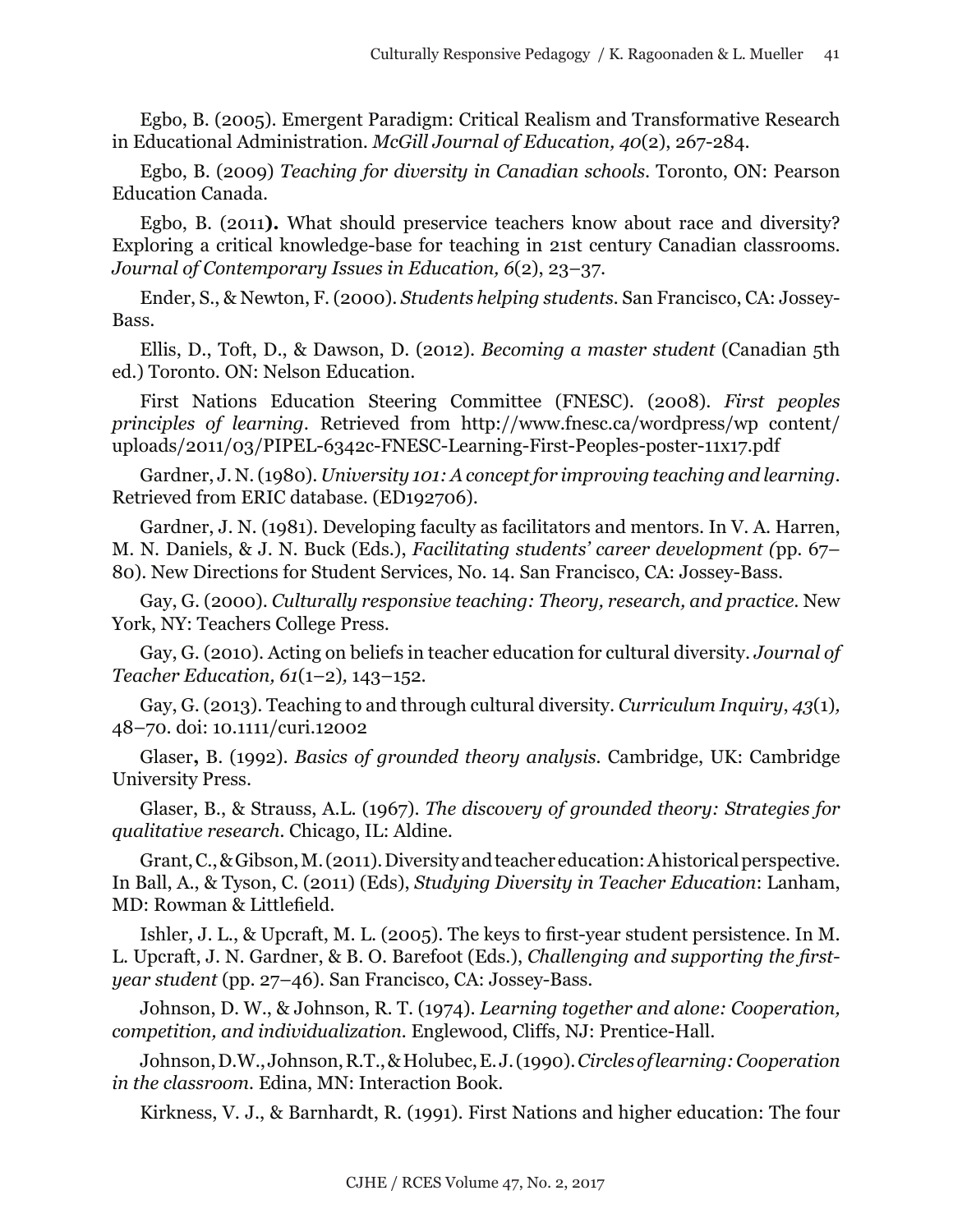Egbo, B. (2005). Emergent Paradigm: Critical Realism and Transformative Research in Educational Administration. *McGill Journal of Education, 40*(2), 267-284.

Egbo, B. (2009) *Teaching for diversity in Canadian schools*. Toronto, ON: Pearson Education Canada.

Egbo, B. (2011**).** What should preservice teachers know about race and diversity? Exploring a critical knowledge-base for teaching in 21st century Canadian classrooms. *Journal of Contemporary Issues in Education, 6*(2), 23–37.

Ender, S., & Newton, F. (2000). *Students helping students.* San Francisco, CA: Jossey-Bass.

Ellis, D., Toft, D., & Dawson, D. (2012). *Becoming a master student* (Canadian 5th ed.) Toronto. ON: Nelson Education.

First Nations Education Steering Committee (FNESC). (2008). *First peoples principles of learning*. Retrieved from [http://www.fnesc.ca/wordpress/wp content/](http://www.fnesc.ca/wordpress/wp-content/uploads/2011/03/PIPEL-6342c-FNESC-Learning-First-Peoples-poster-11x17.pdf) [uploads/2011/03/PIPEL-6342c-FNESC-Learning-First-Peoples-poster-11x17.pdf](http://www.fnesc.ca/wordpress/wp-content/uploads/2011/03/PIPEL-6342c-FNESC-Learning-First-Peoples-poster-11x17.pdf)

Gardner, J. N. (1980). *University 101: A concept for improving teaching and learning*. Retrieved from ERIC database. (ED192706).

Gardner, J. N. (1981). Developing faculty as facilitators and mentors. In V. A. Harren, M. N. Daniels, & J. N. Buck (Eds.), *Facilitating students' career development (*pp. 67– 80). New Directions for Student Services, No. 14. San Francisco, CA: Jossey-Bass.

Gay, G. (2000). *Culturally responsive teaching: Theory, research, and practice*. New York, NY: Teachers College Press.

Gay, G. (2010). Acting on beliefs in teacher education for cultural diversity. *Journal of Teacher Education, 61*(1–2)*,* 143–152.

Gay, G. (2013). Teaching to and through cultural diversity. *Curriculum Inquiry*, *43*(1)*,* 48–70. doi: 10.1111/curi.12002

Glaser**,** B. (1992). *Basics of grounded theory analysis.* Cambridge, UK: Cambridge University Press.

Glaser, B., & Strauss, A.L. (1967). *The discovery of grounded theory: Strategies for qualitative research.* Chicago, IL: Aldine.

Grant, C., & Gibson, M. (2011). Diversity and teacher education: A historical perspective. In Ball, A., & Tyson, C. (2011) (Eds), *Studying Diversity in Teacher Education*: Lanham, MD: Rowman & Littlefield.

Ishler, J. L., & Upcraft, M. L. (2005). The keys to first-year student persistence. In M. L. Upcraft, J. N. Gardner, & B. O. Barefoot (Eds.), *Challenging and supporting the firstyear student* (pp. 27–46). San Francisco, CA: Jossey-Bass.

Johnson, D. W., & Johnson, R. T. (1974). *Learning together and alone: Cooperation, competition, and individualization.* Englewood, Cliffs, NJ: Prentice-Hall.

Johnson, D.W., Johnson, R.T., & Holubec, E. J. (1990). *Circles of learning: Cooperation in the classroom.* Edina, MN: Interaction Book.

Kirkness, V. J., & Barnhardt, R. (1991). First Nations and higher education: The four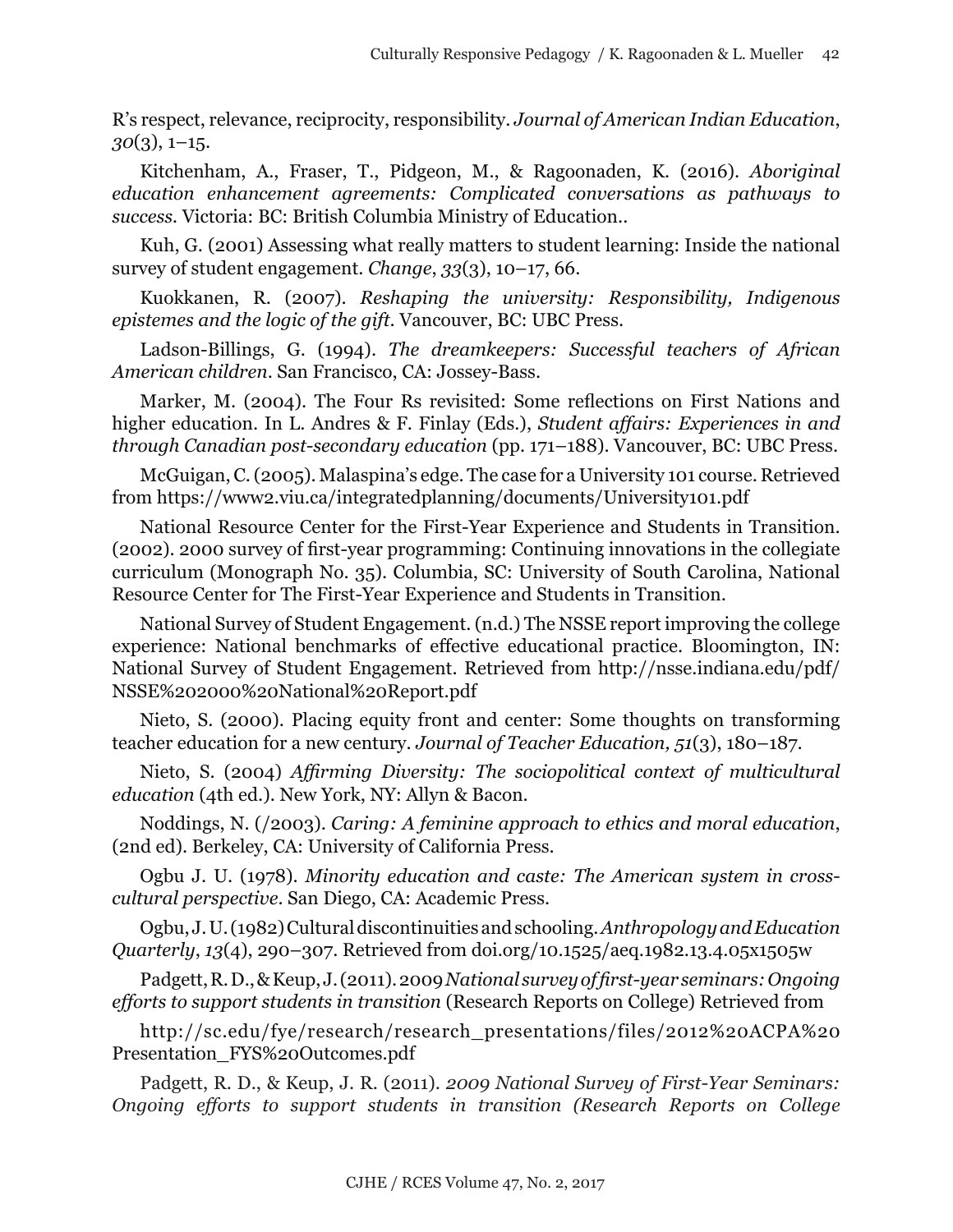R's respect, relevance, reciprocity, responsibility. *Journal of American Indian Education*, *30*(3), 1–15.

Kitchenham, A., Fraser, T., Pidgeon, M., & Ragoonaden, K. (2016). *Aboriginal education enhancement agreements: Complicated conversations as pathways to success.* Victoria: BC: British Columbia Ministry of Education..

Kuh, G. (2001) Assessing what really matters to student learning: Inside the national survey of student engagement. *Change*, *33*(3), 10–17, 66.

Kuokkanen, R. (2007). *Reshaping the university: Responsibility, Indigenous epistemes and the logic of the gift*. Vancouver, BC: UBC Press.

Ladson-Billings, G. (1994). *The dreamkeepers: Successful teachers of African American children*. San Francisco, CA: Jossey-Bass.

Marker, M. (2004). The Four Rs revisited: Some reflections on First Nations and higher education. In L. Andres & F. Finlay (Eds.), *Student affairs: Experiences in and through Canadian post-secondary education* (pp. 171–188). Vancouver, BC: UBC Press.

McGuigan, C. (2005). Malaspina's edge. The case for a University 101 course. Retrieved from https://www2.viu.ca/integratedplanning/documents/University101.pdf

National Resource Center for the First-Year Experience and Students in Transition. (2002). 2000 survey of first-year programming: Continuing innovations in the collegiate curriculum (Monograph No. 35). Columbia, SC: University of South Carolina, National Resource Center for The First-Year Experience and Students in Transition.

National Survey of Student Engagement. (n.d.) The NSSE report improving the college experience: National benchmarks of effective educational practice. Bloomington, IN: National Survey of Student Engagement. Retrieved from http://nsse.indiana.edu/pdf/ NSSE%202000%20National%20Report.pdf

Nieto, S. (2000). Placing equity front and center: Some thoughts on transforming teacher education for a new century. *Journal of Teacher Education, 51*(3), 180–187.

Nieto, S. (2004) *Affirming Diversity: The sociopolitical context of multicultural education* (4th ed.). New York, NY: Allyn & Bacon.

Noddings, N. (/2003). *Caring: A feminine approach to ethics and moral education*, (2nd ed). Berkeley, CA: University of California Press.

Ogbu J. U. (1978). *Minority education and caste: The American system in crosscultural perspective*. San Diego, CA: Academic Press.

Ogbu, J. U. (1982) Cultural discontinuities and schooling. *Anthropology and Education Quarterly*, *13*(4), 290–307. Retrieved from doi.org/10.1525/aeq.1982.13.4.05x1505w

Padgett, R. D., & Keup, J. (2011). 2009 *National survey of first-year seminars: Ongoing efforts to support students in transition* (Research Reports on College) Retrieved from

[http://sc.edu/fye/research/research\\_presentations/files/2012%20ACPA%20](http://sc.edu/fye/research/research_presentations/files/2012%20ACPA%20Presentation_FYS%20Outcomes.pdf) [Presentation\\_FYS%20Outcomes.pdf](http://sc.edu/fye/research/research_presentations/files/2012%20ACPA%20Presentation_FYS%20Outcomes.pdf)

Padgett, R. D., & Keup, J. R. (2011). *2009 National Survey of First-Year Seminars: Ongoing efforts to support students in transition (Research Reports on College*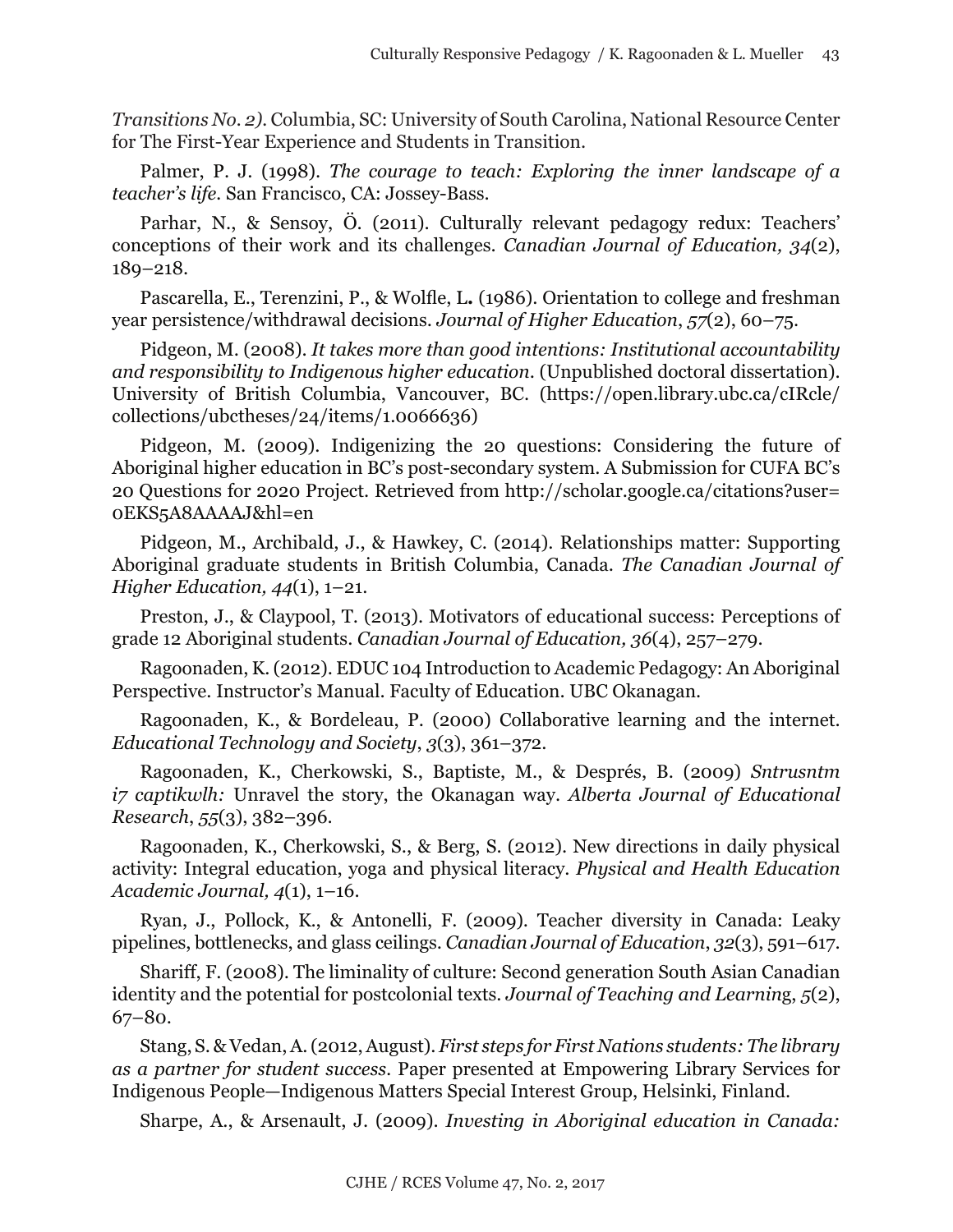*Transitions No. 2).* Columbia, SC: University of South Carolina, National Resource Center for The First-Year Experience and Students in Transition.

Palmer, P. J. (1998). *The courage to teach: Exploring the inner landscape of a teacher's life.* San Francisco, CA: Jossey-Bass.

Parhar, N., & Sensoy, Ö. (2011). Culturally relevant pedagogy redux: Teachers' conceptions of their work and its challenges. *[Canadian Journal of Education,](http://ojs.vre.upei.ca/index.php/cje-rce/) 34*(2), 189–218.

Pascarella, E., Terenzini, P., & Wolfle, L**.** (1986). Orientation to college and freshman year persistence/withdrawal decisions. *Journal of Higher Education*, *57*(2), 60–75.

Pidgeon, M. (2008). *It takes more than good intentions: Institutional accountability and responsibility to Indigenous higher education*. (Unpublished doctoral dissertation). University of British Columbia, Vancouver, BC. (https://open.library.ubc.ca/cIRcle/ collections/ubctheses/24/items/1.0066636)

Pidgeon, M. (2009). Indigenizing the 20 questions: Considering the future of Aboriginal higher education in BC's post-secondary system. A Submission for CUFA BC's 20 Questions for 2020 Project. Retrieved from http://scholar.google.ca/citations?user= 0EKS5A8AAAAJ&hl=en

Pidgeon, M., Archibald, J., & Hawkey, C. (2014). Relationships matter: Supporting Aboriginal graduate students in British Columbia, Canada. *The Canadian Journal of Higher Education, 44*(1), 1–21.

Preston, J., & Claypool, T. (2013). Motivators of educational success: Perceptions of grade 12 Aboriginal students. *Canadian Journal of Education, 36*(4), 257–279.

Ragoonaden, K. (2012). EDUC 104 Introduction to Academic Pedagogy: An Aboriginal Perspective. Instructor's Manual. Faculty of Education. UBC Okanagan.

Ragoonaden, K., & Bordeleau, P. (2000) Collaborative learning and the internet. *Educational Technology and Society*, *3*(3), 361–372.

Ragoonaden, K., Cherkowski, S., Baptiste, M., & Després, B. (2009) *Sntrusntm i7 captikwlh:* Unravel the story, the Okanagan way. *Alberta Journal of Educational Research*, *55*(3), 382–396.

Ragoonaden, K., Cherkowski, S., & Berg, S. (2012). New directions in daily physical activity: Integral education, yoga and physical literacy. *Physical and Health Education Academic Journal, 4*(1), 1–16.

Ryan, J., Pollock, K., & Antonelli, F. (2009). Teacher diversity in Canada: Leaky pipelines, bottlenecks, and glass ceilings. *Canadian Journal of Education*, *32*(3), 591–617.

Shariff, F. (2008). The liminality of culture: Second generation South Asian Canadian identity and the potential for postcolonial texts. *Journal of Teaching and Learnin*g, *5*(2), 67–80.

Stang, S. & Vedan, A. (2012, August). *First steps for First Nations students: The library as a partner for student success.* Paper presented at Empowering Library Services for Indigenous People—Indigenous Matters Special Interest Group, Helsinki, Finland.

Sharpe, A., & Arsenault, J. (2009). *Investing in Aboriginal education in Canada:*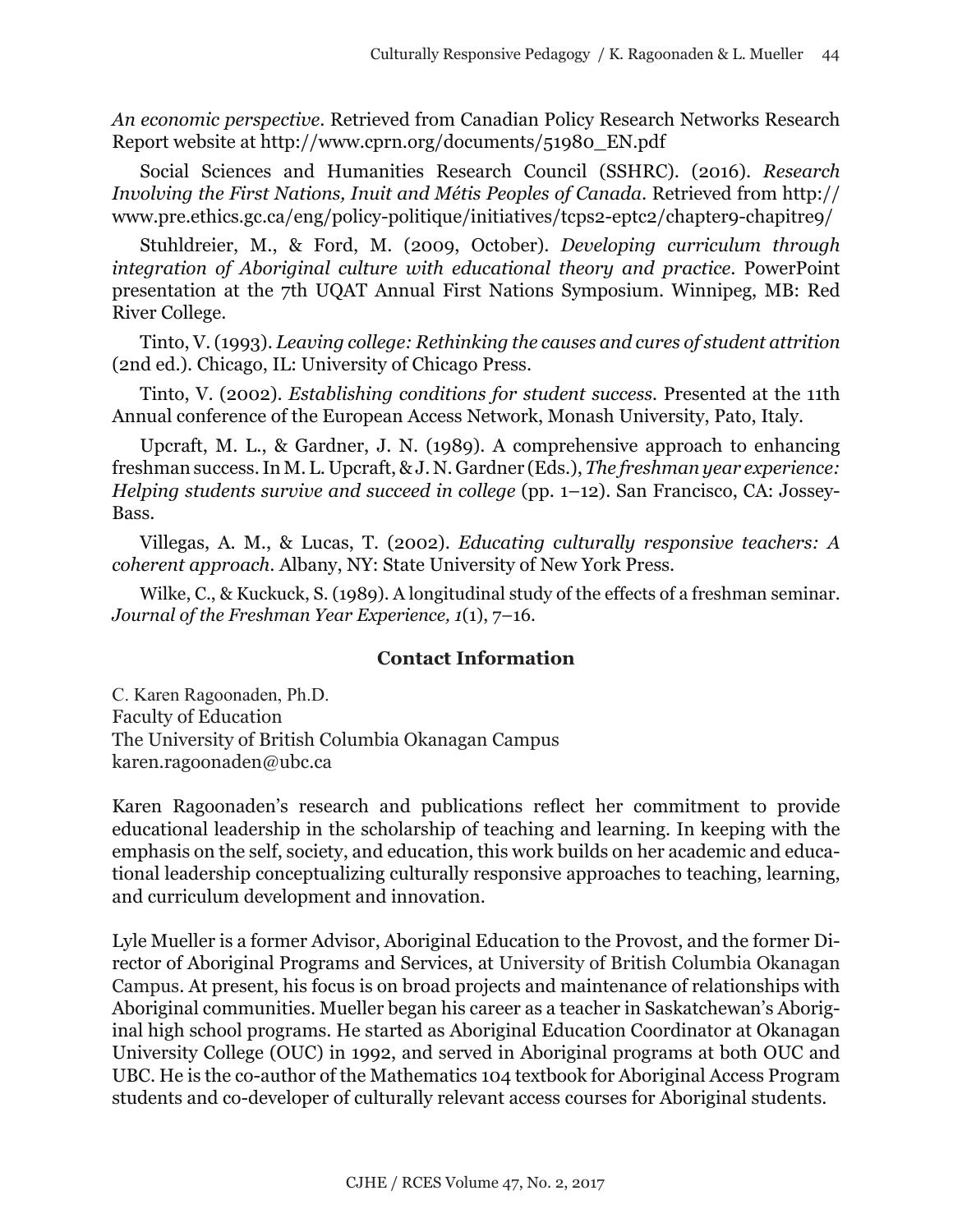*An economic perspective*. Retrieved from Canadian Policy Research Networks Research Report website at [http://www.cprn.org/documents/51980\\_EN.pdf](http://www.cprn.org/documents/51980_EN.pdf)

Social Sciences and Humanities Research Council (SSHRC). (2016). *Research Involving the First Nations, Inuit and Métis Peoples of Canada*. Retrieved from [http://](http://www.pre.ethics.gc.ca/eng/policy-politique/initiatives/tcps2-eptc2/chapter9-chapitre9/) [www.pre.ethics.gc.ca/eng/policy-politique/initiatives/tcps2-eptc2/chapter9-chapitre9/](http://www.pre.ethics.gc.ca/eng/policy-politique/initiatives/tcps2-eptc2/chapter9-chapitre9/)

Stuhldreier, M., & Ford, M. (2009, October). *Developing curriculum through integration of Aboriginal culture with educational theory and practice*. PowerPoint presentation at the 7th UQAT Annual First Nations Symposium. Winnipeg, MB: Red River College.

Tinto, V. (1993). *Leaving college: Rethinking the causes and cures of student attrition*  (2nd ed.). Chicago, IL: University of Chicago Press.

Tinto, V. (2002). *Establishing conditions for student success.* Presented at the 11th Annual conference of the European Access Network, Monash University, Pato, Italy.

Upcraft, M. L., & Gardner, J. N. (1989). A comprehensive approach to enhancing freshman success. In M. L. Upcraft, & J. N. Gardner (Eds.), *The freshman year experience: Helping students survive and succeed in college* (pp. 1–12). San Francisco, CA: Jossey-Bass.

Villegas, A. M., & Lucas, T. (2002). *Educating culturally responsive teachers: A coherent approach*. Albany, NY: State University of New York Press.

Wilke, C., & Kuckuck, S. (1989). A longitudinal study of the effects of a freshman seminar. *Journal of the Freshman Year Experience, 1*(1), 7–16.

# **Contact Information**

C. Karen Ragoonaden, Ph.D. Faculty of Education The University of British Columbia Okanagan Campus karen.ragoonaden@ubc.ca

Karen Ragoonaden's research and publications reflect her commitment to provide educational leadership in the scholarship of teaching and learning. In keeping with the emphasis on the self, society, and education, this work builds on her academic and educational leadership conceptualizing culturally responsive approaches to teaching, learning, and curriculum development and innovation.

Lyle Mueller is a former Advisor, Aboriginal Education to the Provost, and the former Director of Aboriginal Programs and Services, at University of British Columbia Okanagan Campus. At present, his focus is on broad projects and maintenance of relationships with Aboriginal communities. Mueller began his career as a teacher in Saskatchewan's Aboriginal high school programs. He started as Aboriginal Education Coordinator at Okanagan University College (OUC) in 1992, and served in Aboriginal programs at both OUC and UBC. He is the co-author of the Mathematics 104 textbook for Aboriginal Access Program students and co-developer of culturally relevant access courses for Aboriginal students.